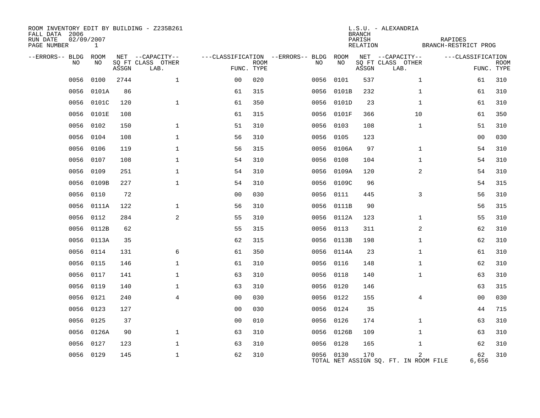| ROOM INVENTORY EDIT BY BUILDING - Z235B261<br>FALL DATA 2006<br>RUN DATE<br>PAGE NUMBER | 02/09/2007<br>$\mathbf{1}$ |       |                                       |                |             |                                          |            | <b>BRANCH</b><br>PARISH<br>RELATION | L.S.U. - ALEXANDRIA                        | RAPIDES<br>BRANCH-RESTRICT PROG |             |
|-----------------------------------------------------------------------------------------|----------------------------|-------|---------------------------------------|----------------|-------------|------------------------------------------|------------|-------------------------------------|--------------------------------------------|---------------------------------|-------------|
| --ERRORS-- BLDG<br>NO                                                                   | ROOM<br>NO                 |       | NET --CAPACITY--<br>SQ FT CLASS OTHER |                | <b>ROOM</b> | ---CLASSIFICATION --ERRORS-- BLDG<br>NO. | ROOM<br>NO |                                     | NET --CAPACITY--<br>SQ FT CLASS OTHER      | ---CLASSIFICATION               | <b>ROOM</b> |
|                                                                                         |                            | ASSGN | LAB.                                  | FUNC. TYPE     |             |                                          |            | ASSGN                               | LAB.                                       |                                 | FUNC. TYPE  |
| 0056                                                                                    | 0100                       | 2744  | $\mathbf 1$                           | 0 <sub>0</sub> | 020         | 0056                                     | 0101       | 537                                 | $\mathbf{1}$                               | 61                              | 310         |
| 0056                                                                                    | 0101A                      | 86    |                                       | 61             | 315         | 0056                                     | 0101B      | 232                                 | $\mathbf{1}$                               | 61                              | 310         |
| 0056                                                                                    | 0101C                      | 120   | $\mathbf{1}$                          | 61             | 350         |                                          | 0056 0101D | 23                                  | $\mathbf{1}$                               | 61                              | 310         |
| 0056                                                                                    | 0101E                      | 108   |                                       | 61             | 315         | 0056                                     | 0101F      | 366                                 | 10                                         | 61                              | 350         |
| 0056                                                                                    | 0102                       | 150   | 1                                     | 51             | 310         |                                          | 0056 0103  | 108                                 | $\mathbf{1}$                               | 51                              | 310         |
| 0056                                                                                    | 0104                       | 108   | $\mathbf{1}$                          | 56             | 310         | 0056                                     | 0105       | 123                                 |                                            | 00                              | 030         |
| 0056                                                                                    | 0106                       | 119   | $\mathbf 1$                           | 56             | 315         |                                          | 0056 0106A | 97                                  | $\mathbf{1}$                               | 54                              | 310         |
| 0056                                                                                    | 0107                       | 108   | $\mathbf 1$                           | 54             | 310         | 0056                                     | 0108       | 104                                 | $\mathbf{1}$                               | 54                              | 310         |
| 0056                                                                                    | 0109                       | 251   | $\mathbf 1$                           | 54             | 310         |                                          | 0056 0109A | 120                                 | $\overline{2}$                             | 54                              | 310         |
| 0056                                                                                    | 0109B                      | 227   | $\mathbf 1$                           | 54             | 310         |                                          | 0056 0109C | 96                                  |                                            | 54                              | 315         |
| 0056                                                                                    | 0110                       | 72    |                                       | 0 <sub>0</sub> | 030         |                                          | 0056 0111  | 445                                 | 3                                          | 56                              | 310         |
| 0056                                                                                    | 0111A                      | 122   | $\mathbf{1}$                          | 56             | 310         | 0056                                     | 0111B      | 90                                  |                                            | 56                              | 315         |
| 0056                                                                                    | 0112                       | 284   | 2                                     | 55             | 310         |                                          | 0056 0112A | 123                                 | $\mathbf{1}$                               | 55                              | 310         |
| 0056                                                                                    | 0112B                      | 62    |                                       | 55             | 315         |                                          | 0056 0113  | 311                                 | 2                                          | 62                              | 310         |
| 0056                                                                                    | 0113A                      | 35    |                                       | 62             | 315         |                                          | 0056 0113B | 198                                 | $\mathbf{1}$                               | 62                              | 310         |
| 0056                                                                                    | 0114                       | 131   | 6                                     | 61             | 350         |                                          | 0056 0114A | 23                                  | $\mathbf{1}$                               | 61                              | 310         |
| 0056                                                                                    | 0115                       | 146   | $\mathbf 1$                           | 61             | 310         |                                          | 0056 0116  | 148                                 | $\mathbf{1}$                               | 62                              | 310         |
| 0056                                                                                    | 0117                       | 141   | $\mathbf 1$                           | 63             | 310         |                                          | 0056 0118  | 140                                 | $\mathbf{1}$                               | 63                              | 310         |
| 0056                                                                                    | 0119                       | 140   | $\mathbf{1}$                          | 63             | 310         | 0056                                     | 0120       | 146                                 |                                            | 63                              | 315         |
| 0056                                                                                    | 0121                       | 240   | $\overline{4}$                        | 0 <sub>0</sub> | 030         |                                          | 0056 0122  | 155                                 | 4                                          | 0 <sub>0</sub>                  | 030         |
| 0056                                                                                    | 0123                       | 127   |                                       | 0 <sub>0</sub> | 030         |                                          | 0056 0124  | 35                                  |                                            | 44                              | 715         |
| 0056                                                                                    | 0125                       | 37    |                                       | 0 <sub>0</sub> | 010         |                                          | 0056 0126  | 174                                 | $\mathbf{1}$                               | 63                              | 310         |
| 0056                                                                                    | 0126A                      | 90    | $\mathbf 1$                           | 63             | 310         |                                          | 0056 0126B | 109                                 | $\mathbf{1}$                               | 63                              | 310         |
| 0056                                                                                    | 0127                       | 123   | 1                                     | 63             | 310         |                                          | 0056 0128  | 165                                 | $\mathbf{1}$                               | 62                              | 310         |
|                                                                                         | 0056 0129                  | 145   | $\mathbf 1$                           | 62             | 310         |                                          | 0056 0130  | 170                                 | 2<br>TOTAL NET ASSIGN SO. FT. IN ROOM FILE | 62<br>6,656                     | 310         |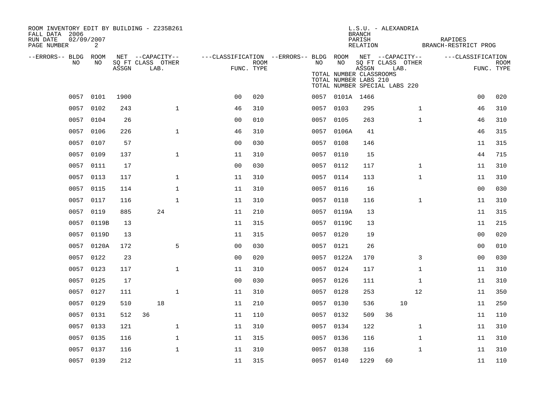| ROOM INVENTORY EDIT BY BUILDING - Z235B261<br>FALL DATA 2006<br>RUN DATE<br>PAGE NUMBER | 02/09/2007<br>2 |       |                           |              |                                                         |                           |           |                                                        | <b>BRANCH</b><br>PARISH<br>RELATION | L.S.U. - ALEXANDRIA                                        |              | RAPIDES<br>BRANCH-RESTRICT PROG |                |                           |
|-----------------------------------------------------------------------------------------|-----------------|-------|---------------------------|--------------|---------------------------------------------------------|---------------------------|-----------|--------------------------------------------------------|-------------------------------------|------------------------------------------------------------|--------------|---------------------------------|----------------|---------------------------|
| --ERRORS-- BLDG ROOM                                                                    |                 |       | NET --CAPACITY--          |              | ---CLASSIFICATION --ERRORS-- BLDG ROOM NET --CAPACITY-- |                           |           |                                                        |                                     |                                                            |              | ---CLASSIFICATION               |                |                           |
| NO                                                                                      | NO              | ASSGN | SQ FT CLASS OTHER<br>LAB. |              |                                                         | <b>ROOM</b><br>FUNC. TYPE | NO        | NO<br>TOTAL NUMBER CLASSROOMS<br>TOTAL NUMBER LABS 210 | ASSGN                               | SQ FT CLASS OTHER<br>LAB.<br>TOTAL NUMBER SPECIAL LABS 220 |              |                                 |                | <b>ROOM</b><br>FUNC. TYPE |
|                                                                                         | 0057 0101       | 1900  |                           |              | 0 <sub>0</sub>                                          | 020                       |           | 0057 0101A 1466                                        |                                     |                                                            |              |                                 | 0 <sub>0</sub> | 020                       |
|                                                                                         | 0057 0102       | 243   |                           | $\mathbf{1}$ | 46                                                      | 310                       | 0057 0103 |                                                        | 295                                 |                                                            | $\mathbf{1}$ |                                 | 46             | 310                       |
|                                                                                         | 0057 0104       | 26    |                           |              | 00                                                      | 010                       | 0057 0105 |                                                        | 263                                 |                                                            | $\mathbf{1}$ |                                 | 46             | 310                       |
| 0057                                                                                    | 0106            | 226   |                           | $\mathbf{1}$ | 46                                                      | 310                       |           | 0057 0106A                                             | 41                                  |                                                            |              |                                 | 46             | 315                       |
|                                                                                         | 0057 0107       | 57    |                           |              | 0 <sub>0</sub>                                          | 030                       | 0057 0108 |                                                        | 146                                 |                                                            |              |                                 | 11             | 315                       |
| 0057                                                                                    | 0109            | 137   |                           | $\mathbf{1}$ | 11                                                      | 310                       | 0057 0110 |                                                        | 15                                  |                                                            |              |                                 | 44             | 715                       |
|                                                                                         | 0057 0111       | 17    |                           |              | 0 <sub>0</sub>                                          | 030                       | 0057 0112 |                                                        | 117                                 |                                                            | $\mathbf{1}$ |                                 | 11             | 310                       |
|                                                                                         | 0057 0113       | 117   |                           | $\mathbf 1$  | 11                                                      | 310                       | 0057 0114 |                                                        | 113                                 |                                                            | $\mathbf{1}$ |                                 | 11             | 310                       |
|                                                                                         | 0057 0115       | 114   |                           | $\mathbf 1$  | 11                                                      | 310                       | 0057 0116 |                                                        | 16                                  |                                                            |              |                                 | 00             | 030                       |
|                                                                                         | 0057 0117       | 116   |                           | $\mathbf{1}$ | 11                                                      | 310                       | 0057 0118 |                                                        | 116                                 |                                                            | $\mathbf{1}$ |                                 | 11             | 310                       |
|                                                                                         | 0057 0119       | 885   | 24                        |              | 11                                                      | 210                       |           | 0057 0119A                                             | 13                                  |                                                            |              |                                 | 11             | 315                       |
|                                                                                         | 0057 0119B      | 13    |                           |              | 11                                                      | 315                       |           | 0057 0119C                                             | 13                                  |                                                            |              |                                 | 11             | 215                       |
|                                                                                         | 0057 0119D      | 13    |                           |              | 11                                                      | 315                       | 0057 0120 |                                                        | 19                                  |                                                            |              |                                 | 0 <sub>0</sub> | 020                       |
|                                                                                         | 0057 0120A      | 172   |                           | 5            | 0 <sub>0</sub>                                          | 030                       | 0057 0121 |                                                        | 26                                  |                                                            |              |                                 | 0 <sub>0</sub> | 010                       |
|                                                                                         | 0057 0122       | 23    |                           |              | 0 <sub>0</sub>                                          | 020                       |           | 0057 0122A                                             | 170                                 |                                                            | 3            |                                 | 0 <sub>0</sub> | 030                       |
|                                                                                         | 0057 0123       | 117   |                           | $\mathbf{1}$ | 11                                                      | 310                       | 0057 0124 |                                                        | 117                                 |                                                            | $\mathbf{1}$ |                                 | 11             | 310                       |
|                                                                                         | 0057 0125       | 17    |                           |              | 0 <sub>0</sub>                                          | 030                       | 0057 0126 |                                                        | 111                                 |                                                            | $\mathbf{1}$ |                                 | 11             | 310                       |
| 0057                                                                                    | 0127            | 111   |                           | $\mathbf{1}$ | 11                                                      | 310                       | 0057 0128 |                                                        | 253                                 |                                                            | 12           |                                 | 11             | 350                       |
|                                                                                         | 0057 0129       | 510   | 18                        |              | 11                                                      | 210                       | 0057 0130 |                                                        | 536                                 |                                                            | 10           |                                 | 11             | 250                       |
| 0057                                                                                    | 0131            | 512   | 36                        |              | 11                                                      | 110                       | 0057 0132 |                                                        | 509                                 | 36                                                         |              |                                 | 11             | 110                       |
|                                                                                         | 0057 0133       | 121   |                           | $\mathbf 1$  | 11                                                      | 310                       | 0057 0134 |                                                        | 122                                 |                                                            | $\mathbf{1}$ |                                 | 11             | 310                       |
| 0057                                                                                    | 0135            | 116   |                           | $\mathbf 1$  | 11                                                      | 315                       | 0057 0136 |                                                        | 116                                 |                                                            | $\mathbf{1}$ |                                 | 11             | 310                       |
|                                                                                         | 0057 0137       | 116   |                           | $\mathbf 1$  | 11                                                      | 310                       | 0057 0138 |                                                        | 116                                 |                                                            | $\mathbf{1}$ |                                 | 11             | 310                       |
|                                                                                         | 0057 0139       | 212   |                           |              | 11                                                      | 315                       | 0057 0140 |                                                        | 1229                                | 60                                                         |              |                                 | 11             | 110                       |
|                                                                                         |                 |       |                           |              |                                                         |                           |           |                                                        |                                     |                                                            |              |                                 |                |                           |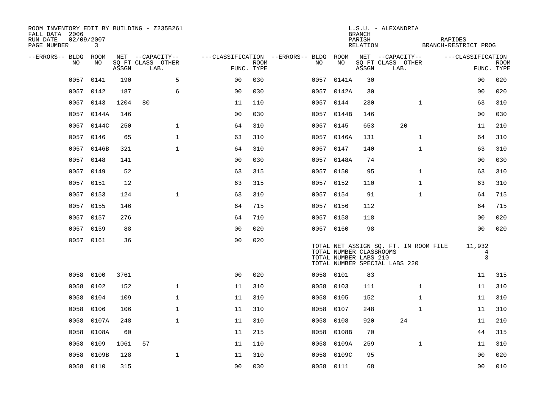| ROOM INVENTORY EDIT BY BUILDING - Z235B261<br>FALL DATA 2006<br>02/09/2007<br>RUN DATE<br>PAGE NUMBER | 3          |       |                           |                                        |             |      |            | <b>BRANCH</b><br>PARISH<br>RELATION              | L.S.U. - ALEXANDRIA                                                    | RAPIDES<br>BRANCH-RESTRICT PROG |                   |             |
|-------------------------------------------------------------------------------------------------------|------------|-------|---------------------------|----------------------------------------|-------------|------|------------|--------------------------------------------------|------------------------------------------------------------------------|---------------------------------|-------------------|-------------|
| --ERRORS-- BLDG ROOM                                                                                  |            |       | NET --CAPACITY--          | ---CLASSIFICATION --ERRORS-- BLDG ROOM |             |      |            |                                                  | NET --CAPACITY--                                                       |                                 | ---CLASSIFICATION |             |
| NO                                                                                                    | NO         | ASSGN | SQ FT CLASS OTHER<br>LAB. | FUNC. TYPE                             | <b>ROOM</b> | NO.  | NO         | ASSGN                                            | SQ FT CLASS OTHER<br>LAB.                                              |                                 | FUNC. TYPE        | <b>ROOM</b> |
| 0057                                                                                                  | 0141       | 190   | 5                         | 0 <sub>0</sub>                         | 030         |      | 0057 0141A | 30                                               |                                                                        |                                 | 0 <sub>0</sub>    | 020         |
| 0057                                                                                                  | 0142       | 187   | 6                         | 0 <sub>0</sub>                         | 030         |      | 0057 0142A | 30                                               |                                                                        |                                 | 00                | 020         |
| 0057                                                                                                  | 0143       | 1204  | 80                        | 11                                     | 110         |      | 0057 0144  | 230                                              |                                                                        | $\mathbf{1}$                    | 63                | 310         |
|                                                                                                       | 0057 0144A | 146   |                           | 0 <sub>0</sub>                         | 030         |      | 0057 0144B | 146                                              |                                                                        |                                 | 0 <sub>0</sub>    | 030         |
| 0057                                                                                                  | 0144C      | 250   | $\mathbf 1$               | 64                                     | 310         |      | 0057 0145  | 653                                              | 20                                                                     |                                 | 11                | 210         |
|                                                                                                       | 0057 0146  | 65    | $\mathbf 1$               | 63                                     | 310         |      | 0057 0146A | 131                                              |                                                                        | $\mathbf{1}$                    | 64                | 310         |
|                                                                                                       | 0057 0146B | 321   | $\mathbf{1}$              | 64                                     | 310         |      | 0057 0147  | 140                                              |                                                                        | $\mathbf{1}$                    | 63                | 310         |
|                                                                                                       | 0057 0148  | 141   |                           | 0 <sub>0</sub>                         | 030         |      | 0057 0148A | 74                                               |                                                                        |                                 | 0 <sub>0</sub>    | 030         |
|                                                                                                       | 0057 0149  | 52    |                           | 63                                     | 315         |      | 0057 0150  | 95                                               |                                                                        | $\mathbf{1}$                    | 63                | 310         |
|                                                                                                       | 0057 0151  | 12    |                           | 63                                     | 315         |      | 0057 0152  | 110                                              |                                                                        | $\mathbf{1}$                    | 63                | 310         |
|                                                                                                       | 0057 0153  | 124   | $\mathbf{1}$              | 63                                     | 310         |      | 0057 0154  | 91                                               |                                                                        | $\mathbf{1}$                    | 64                | 715         |
|                                                                                                       | 0057 0155  | 146   |                           | 64                                     | 715         |      | 0057 0156  | 112                                              |                                                                        |                                 | 64                | 715         |
|                                                                                                       | 0057 0157  | 276   |                           | 64                                     | 710         |      | 0057 0158  | 118                                              |                                                                        |                                 | 00                | 020         |
|                                                                                                       | 0057 0159  | 88    |                           | 0 <sub>0</sub>                         | 020         |      | 0057 0160  | 98                                               |                                                                        |                                 | 0 <sub>0</sub>    | 020         |
|                                                                                                       | 0057 0161  | 36    |                           | 0 <sub>0</sub>                         | 020         |      |            | TOTAL NUMBER CLASSROOMS<br>TOTAL NUMBER LABS 210 | TOTAL NET ASSIGN SQ. FT. IN ROOM FILE<br>TOTAL NUMBER SPECIAL LABS 220 |                                 | 11,932<br>4<br>3  |             |
| 0058                                                                                                  | 0100       | 3761  |                           | 0 <sub>0</sub>                         | 020         |      | 0058 0101  | 83                                               |                                                                        |                                 | 11                | 315         |
| 0058                                                                                                  | 0102       | 152   | $\mathbf{1}$              | 11                                     | 310         |      | 0058 0103  | 111                                              |                                                                        | $\mathbf{1}$                    | 11                | 310         |
| 0058                                                                                                  | 0104       | 109   | $\mathbf 1$               | 11                                     | 310         |      | 0058 0105  | 152                                              |                                                                        | $\mathbf{1}$                    | 11                | 310         |
| 0058                                                                                                  | 0106       | 106   | $\mathbf 1$               | 11                                     | 310         |      | 0058 0107  | 248                                              |                                                                        | $\mathbf{1}$                    | 11                | 310         |
| 0058                                                                                                  | 0107A      | 248   | $\mathbf{1}$              | 11                                     | 310         | 0058 | 0108       | 920                                              | 24                                                                     |                                 | 11                | 210         |
| 0058                                                                                                  | 0108A      | 60    |                           | 11                                     | 215         |      | 0058 0108B | 70                                               |                                                                        |                                 | 44                | 315         |
| 0058                                                                                                  | 0109       | 1061  | 57                        | 11                                     | 110         |      | 0058 0109A | 259                                              |                                                                        | $\mathbf{1}$                    | 11                | 310         |
| 0058                                                                                                  | 0109B      | 128   | $\mathbf{1}$              | 11                                     | 310         | 0058 | 0109C      | 95                                               |                                                                        |                                 | 00                | 020         |
|                                                                                                       | 0058 0110  | 315   |                           | 0 <sub>0</sub>                         | 030         |      | 0058 0111  | 68                                               |                                                                        |                                 | 0 <sub>0</sub>    | 010         |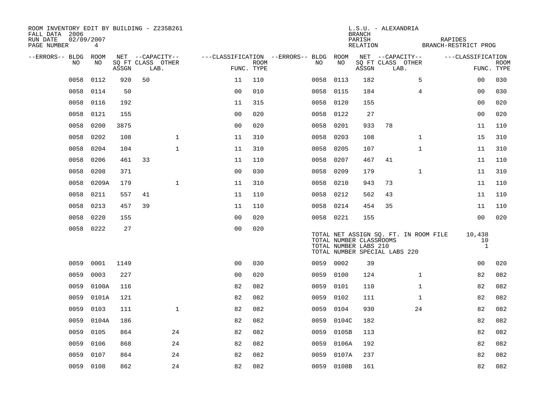| ROOM INVENTORY EDIT BY BUILDING - Z235B261<br>FALL DATA 2006<br>RUN DATE<br>PAGE NUMBER | 02/09/2007<br>$4\overline{ }$ |       |    |                           |                |             |                                        |            | L.S.U. - ALEXANDRIA<br><b>BRANCH</b><br>PARISH<br>RELATION                        |                           |              | RAPIDES<br>BRANCH-RESTRICT PROG       |                   |             |
|-----------------------------------------------------------------------------------------|-------------------------------|-------|----|---------------------------|----------------|-------------|----------------------------------------|------------|-----------------------------------------------------------------------------------|---------------------------|--------------|---------------------------------------|-------------------|-------------|
| --ERRORS-- BLDG ROOM                                                                    |                               |       |    | NET --CAPACITY--          |                |             | ---CLASSIFICATION --ERRORS-- BLDG ROOM |            | NET --CAPACITY--                                                                  |                           |              | ---CLASSIFICATION                     |                   |             |
| NO.                                                                                     | NO.                           | ASSGN |    | SQ FT CLASS OTHER<br>LAB. | FUNC. TYPE     | <b>ROOM</b> | NO                                     | NO         | ASSGN                                                                             | SQ FT CLASS OTHER<br>LAB. |              |                                       | FUNC. TYPE        | <b>ROOM</b> |
| 0058                                                                                    | 0112                          | 920   | 50 |                           | 11             | 110         | 0058                                   | 0113       | 182                                                                               |                           | 5            |                                       | 00                | 030         |
| 0058                                                                                    | 0114                          | 50    |    |                           | 0 <sup>0</sup> | 010         | 0058                                   | 0115       | 184                                                                               |                           | 4            |                                       | 00                | 030         |
| 0058                                                                                    | 0116                          | 192   |    |                           | 11             | 315         | 0058                                   | 0120       | 155                                                                               |                           |              |                                       | 0 <sub>0</sub>    | 020         |
| 0058                                                                                    | 0121                          | 155   |    |                           | 0 <sub>0</sub> | 020         | 0058                                   | 0122       | 27                                                                                |                           |              |                                       | 00                | 020         |
| 0058                                                                                    | 0200                          | 3875  |    |                           | 0 <sub>0</sub> | 020         | 0058                                   | 0201       | 933                                                                               | 78                        |              |                                       | 11                | 110         |
| 0058                                                                                    | 0202                          | 108   |    | $\mathbf 1$               | 11             | 310         | 0058                                   | 0203       | 108                                                                               |                           | $\mathbf{1}$ |                                       | 15                | 310         |
| 0058                                                                                    | 0204                          | 104   |    | $\mathbf{1}$              | 11             | 310         | 0058                                   | 0205       | 107                                                                               |                           | $\mathbf{1}$ |                                       | 11                | 310         |
| 0058                                                                                    | 0206                          | 461   | 33 |                           | 11             | 110         | 0058                                   | 0207       | 467                                                                               | 41                        |              |                                       | 11                | 110         |
| 0058                                                                                    | 0208                          | 371   |    |                           | 0 <sub>0</sub> | 030         | 0058                                   | 0209       | 179                                                                               |                           | $\mathbf{1}$ |                                       | 11                | 310         |
| 0058                                                                                    | 0209A                         | 179   |    | $\mathbf{1}$              | 11             | 310         |                                        | 0058 0210  | 943                                                                               | 73                        |              |                                       | 11                | 110         |
| 0058                                                                                    | 0211                          | 557   | 41 |                           | 11             | 110         | 0058                                   | 0212       | 562                                                                               | 43                        |              |                                       | 11                | 110         |
| 0058                                                                                    | 0213                          | 457   | 39 |                           | 11             | 110         |                                        | 0058 0214  | 454                                                                               | 35                        |              |                                       | 11                | 110         |
| 0058                                                                                    | 0220                          | 155   |    |                           | 0 <sub>0</sub> | 020         |                                        | 0058 0221  | 155                                                                               |                           |              |                                       | 0 <sub>0</sub>    | 020         |
|                                                                                         | 0058 0222                     | 27    |    |                           | 0 <sub>0</sub> | 020         |                                        |            | TOTAL NUMBER CLASSROOMS<br>TOTAL NUMBER LABS 210<br>TOTAL NUMBER SPECIAL LABS 220 |                           |              | TOTAL NET ASSIGN SQ. FT. IN ROOM FILE | 10,438<br>10<br>1 |             |
| 0059                                                                                    | 0001                          | 1149  |    |                           | 0 <sub>0</sub> | 030         |                                        | 0059 0002  | 39                                                                                |                           |              |                                       | 00                | 020         |
| 0059                                                                                    | 0003                          | 227   |    |                           | 0 <sub>0</sub> | 020         | 0059                                   | 0100       | 124                                                                               |                           | $\mathbf{1}$ |                                       | 82                | 082         |
| 0059                                                                                    | 0100A                         | 116   |    |                           | 82             | 082         |                                        | 0059 0101  | 110                                                                               |                           | $\mathbf{1}$ |                                       | 82                | 082         |
| 0059                                                                                    | 0101A                         | 121   |    |                           | 82             | 082         | 0059                                   | 0102       | 111                                                                               |                           | $\mathbf{1}$ |                                       | 82                | 082         |
| 0059                                                                                    | 0103                          | 111   |    | $\mathbf{1}$              | 82             | 082         | 0059                                   | 0104       | 930                                                                               |                           | 24           |                                       | 82                | 082         |
| 0059                                                                                    | 0104A                         | 186   |    |                           | 82             | 082         | 0059                                   | 0104C      | 182                                                                               |                           |              |                                       | 82                | 082         |
| 0059                                                                                    | 0105                          | 864   |    | 24                        | 82             | 082         |                                        | 0059 0105B | 113                                                                               |                           |              |                                       | 82                | 082         |
| 0059                                                                                    | 0106                          | 868   |    | 24                        | 82             | 082         | 0059                                   | 0106A      | 192                                                                               |                           |              |                                       | 82                | 082         |
| 0059                                                                                    | 0107                          | 864   |    | 24                        | 82             | 082         | 0059                                   | 0107A      | 237                                                                               |                           |              |                                       | 82                | 082         |
|                                                                                         | 0059 0108                     | 862   |    | 24                        | 82             | 082         |                                        | 0059 0108B | 161                                                                               |                           |              |                                       | 82                | 082         |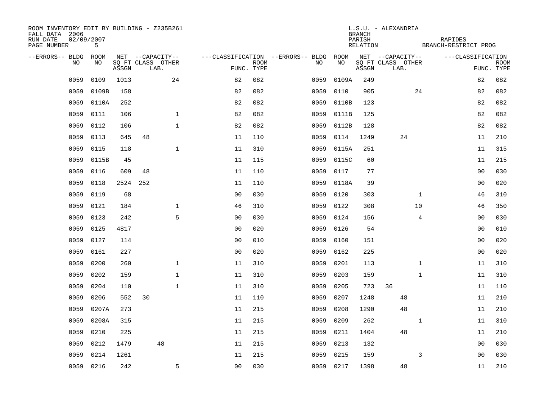| ROOM INVENTORY EDIT BY BUILDING - Z235B261<br>FALL DATA 2006<br>02/09/2007<br>RUN DATE<br>PAGE NUMBER | 5         |       |                           |              |                                        |             |           |            | <b>BRANCH</b><br>PARISH<br>RELATION | L.S.U. - ALEXANDRIA       | RAPIDES<br>BRANCH-RESTRICT PROG |                |      |
|-------------------------------------------------------------------------------------------------------|-----------|-------|---------------------------|--------------|----------------------------------------|-------------|-----------|------------|-------------------------------------|---------------------------|---------------------------------|----------------|------|
| --ERRORS-- BLDG ROOM                                                                                  |           |       | NET --CAPACITY--          |              | ---CLASSIFICATION --ERRORS-- BLDG ROOM |             |           |            |                                     | NET --CAPACITY--          | ---CLASSIFICATION               |                |      |
| NO.                                                                                                   | NO.       | ASSGN | SQ FT CLASS OTHER<br>LAB. |              | FUNC. TYPE                             | <b>ROOM</b> | NO.       | NO         | ASSGN                               | SQ FT CLASS OTHER<br>LAB. |                                 | FUNC. TYPE     | ROOM |
| 0059                                                                                                  | 0109      | 1013  |                           | 24           | 82                                     | 082         | 0059      | 0109A      | 249                                 |                           |                                 | 82             | 082  |
| 0059                                                                                                  | 0109B     | 158   |                           |              | 82                                     | 082         | 0059      | 0110       | 905                                 | 24                        |                                 | 82             | 082  |
| 0059                                                                                                  | 0110A     | 252   |                           |              | 82                                     | 082         | 0059      | 0110B      | 123                                 |                           |                                 | 82             | 082  |
| 0059                                                                                                  | 0111      | 106   |                           | $\mathbf 1$  | 82                                     | 082         |           | 0059 0111B | 125                                 |                           |                                 | 82             | 082  |
| 0059                                                                                                  | 0112      | 106   |                           | $\mathbf{1}$ | 82                                     | 082         | 0059      | 0112B      | 128                                 |                           |                                 | 82             | 082  |
| 0059                                                                                                  | 0113      | 645   | 48                        |              | 11                                     | 110         | 0059      | 0114       | 1249                                | 24                        |                                 | 11             | 210  |
| 0059                                                                                                  | 0115      | 118   |                           | $\mathbf{1}$ | 11                                     | 310         | 0059      | 0115A      | 251                                 |                           |                                 | 11             | 315  |
| 0059                                                                                                  | 0115B     | 45    |                           |              | 11                                     | 115         | 0059      | 0115C      | 60                                  |                           |                                 | 11             | 215  |
| 0059                                                                                                  | 0116      | 609   | 48                        |              | 11                                     | 110         | 0059      | 0117       | 77                                  |                           |                                 | 0 <sub>0</sub> | 030  |
| 0059                                                                                                  | 0118      | 2524  | 252                       |              | 11                                     | 110         |           | 0059 0118A | 39                                  |                           |                                 | 00             | 020  |
| 0059                                                                                                  | 0119      | 68    |                           |              | 0 <sub>0</sub>                         | 030         | 0059      | 0120       | 303                                 |                           | $\mathbf{1}$                    | 46             | 310  |
| 0059                                                                                                  | 0121      | 184   |                           | $\mathbf 1$  | 46                                     | 310         | 0059      | 0122       | 308                                 | 10                        |                                 | 46             | 350  |
| 0059                                                                                                  | 0123      | 242   |                           | 5            | 0 <sub>0</sub>                         | 030         | 0059      | 0124       | 156                                 |                           | $\overline{4}$                  | 0 <sub>0</sub> | 030  |
| 0059                                                                                                  | 0125      | 4817  |                           |              | 0 <sub>0</sub>                         | 020         | 0059 0126 |            | 54                                  |                           |                                 | 0 <sub>0</sub> | 010  |
| 0059                                                                                                  | 0127      | 114   |                           |              | 0 <sub>0</sub>                         | 010         | 0059      | 0160       | 151                                 |                           |                                 | 00             | 020  |
| 0059                                                                                                  | 0161      | 227   |                           |              | 0 <sub>0</sub>                         | 020         | 0059      | 0162       | 225                                 |                           |                                 | 00             | 020  |
| 0059                                                                                                  | 0200      | 260   |                           | $\mathbf{1}$ | 11                                     | 310         | 0059      | 0201       | 113                                 |                           | $\mathbf{1}$                    | 11             | 310  |
| 0059                                                                                                  | 0202      | 159   |                           | $\mathbf{1}$ | 11                                     | 310         | 0059      | 0203       | 159                                 |                           | $\mathbf{1}$                    | 11             | 310  |
| 0059                                                                                                  | 0204      | 110   |                           | $\mathbf{1}$ | 11                                     | 310         | 0059      | 0205       | 723                                 | 36                        |                                 | 11             | 110  |
| 0059                                                                                                  | 0206      | 552   | 30                        |              | 11                                     | 110         | 0059      | 0207       | 1248                                | 48                        |                                 | 11             | 210  |
| 0059                                                                                                  | 0207A     | 273   |                           |              | 11                                     | 215         | 0059      | 0208       | 1290                                | 48                        |                                 | 11             | 210  |
| 0059                                                                                                  | 0208A     | 315   |                           |              | 11                                     | 215         | 0059      | 0209       | 262                                 |                           | $\mathbf{1}$                    | 11             | 310  |
| 0059                                                                                                  | 0210      | 225   |                           |              | 11                                     | 215         | 0059      | 0211       | 1404                                | 48                        |                                 | 11             | 210  |
| 0059                                                                                                  | 0212      | 1479  | 48                        |              | 11                                     | 215         | 0059      | 0213       | 132                                 |                           |                                 | 00             | 030  |
| 0059                                                                                                  | 0214      | 1261  |                           |              | 11                                     | 215         | 0059      | 0215       | 159                                 |                           | 3                               | 0 <sub>0</sub> | 030  |
|                                                                                                       | 0059 0216 | 242   |                           | 5            | 00                                     | 030         | 0059 0217 |            | 1398                                | 48                        |                                 | 11             | 210  |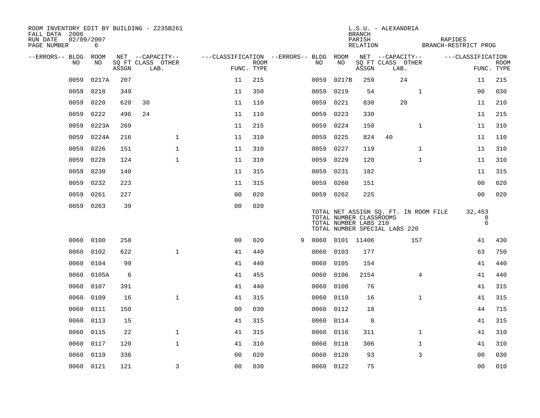| ROOM INVENTORY EDIT BY BUILDING - Z235B261<br>FALL DATA 2006<br>RUN DATE<br>PAGE NUMBER | 02/09/2007<br>6 |       |                           |                                   |                           |   |           |                 | <b>BRANCH</b><br>PARISH<br>RELATION              | L.S.U. - ALEXANDRIA                                                    | <b>RAPIDES</b><br>BRANCH-RESTRICT PROG |                  |                           |
|-----------------------------------------------------------------------------------------|-----------------|-------|---------------------------|-----------------------------------|---------------------------|---|-----------|-----------------|--------------------------------------------------|------------------------------------------------------------------------|----------------------------------------|------------------|---------------------------|
| --ERRORS-- BLDG                                                                         | ROOM            |       | NET --CAPACITY--          | ---CLASSIFICATION --ERRORS-- BLDG |                           |   |           | ROOM            |                                                  | NET --CAPACITY--                                                       | ---CLASSIFICATION                      |                  |                           |
| NO                                                                                      | NO              | ASSGN | SQ FT CLASS OTHER<br>LAB. |                                   | <b>ROOM</b><br>FUNC. TYPE |   | NO        | NO              | ASSGN                                            | SQ FT CLASS OTHER<br>LAB.                                              |                                        |                  | <b>ROOM</b><br>FUNC. TYPE |
| 0059                                                                                    | 0217A           | 207   |                           | 11                                | 215                       |   | 0059      | 0217B           | 259                                              | 24                                                                     |                                        | 11               | 215                       |
| 0059                                                                                    | 0218            | 349   |                           | 11                                | 350                       |   | 0059      | 0219            | 54                                               | $\mathbf{1}$                                                           |                                        | 0 <sub>0</sub>   | 030                       |
| 0059                                                                                    | 0220            | 620   | 30                        | 11                                | 110                       |   | 0059      | 0221            | 830                                              | 20                                                                     |                                        | 11               | 210                       |
| 0059                                                                                    | 0222            | 496   | 24                        | 11                                | 110                       |   | 0059      | 0223            | 330                                              |                                                                        |                                        | 11               | 215                       |
| 0059                                                                                    | 0223A           | 269   |                           | 11                                | 215                       |   | 0059      | 0224            | 150                                              | $\mathbf{1}$                                                           |                                        | 11               | 310                       |
| 0059                                                                                    | 0224A           | 216   | $\mathbf 1$               | 11                                | 310                       |   | 0059      | 0225            | 824                                              | 40                                                                     |                                        | 11               | 110                       |
| 0059                                                                                    | 0226            | 151   | $\mathbf{1}$              | 11                                | 310                       |   | 0059      | 0227            | 119                                              | $\mathbf{1}$                                                           |                                        | 11               | 310                       |
| 0059                                                                                    | 0228            | 124   | $\mathbf{1}$              | 11                                | 310                       |   | 0059      | 0229            | 120                                              | $\mathbf{1}$                                                           |                                        | 11               | 310                       |
| 0059                                                                                    | 0230            | 140   |                           | 11                                | 315                       |   | 0059      | 0231            | 182                                              |                                                                        |                                        | 11               | 315                       |
| 0059                                                                                    | 0232            | 223   |                           | 11                                | 315                       |   | 0059 0260 |                 | 151                                              |                                                                        |                                        | 00               | 020                       |
| 0059                                                                                    | 0261            | 227   |                           | 0 <sub>0</sub>                    | 020                       |   | 0059 0262 |                 | 225                                              |                                                                        |                                        | 0 <sub>0</sub>   | 020                       |
|                                                                                         | 0059 0263       | 39    |                           | 0 <sub>0</sub>                    | 020                       |   |           |                 | TOTAL NUMBER CLASSROOMS<br>TOTAL NUMBER LABS 210 | TOTAL NET ASSIGN SQ. FT. IN ROOM FILE<br>TOTAL NUMBER SPECIAL LABS 220 |                                        | 32,453<br>8<br>6 |                           |
| 0060                                                                                    | 0100            | 258   |                           | 00                                | 020                       | 9 |           | 0060 0101 11406 |                                                  | 157                                                                    |                                        | 41               | 430                       |
| 0060                                                                                    | 0102            | 622   | $\mathbf 1$               | 41                                | 440                       |   | 0060      | 0103            | 177                                              |                                                                        |                                        | 63               | 750                       |
| 0060                                                                                    | 0104            | 99    |                           | 41                                | 440                       |   | 0060      | 0105            | 154                                              |                                                                        |                                        | 41               | 440                       |
| 0060                                                                                    | 0105A           | 6     |                           | 41                                | 455                       |   | 0060      | 0106            | 2154                                             | 4                                                                      |                                        | 41               | 440                       |
| 0060                                                                                    | 0107            | 391   |                           | 41                                | 440                       |   | 0060      | 0108            | 76                                               |                                                                        |                                        | 41               | 315                       |
| 0060                                                                                    | 0109            | 16    | $\mathbf{1}$              | 41                                | 315                       |   | 0060      | 0110            | 16                                               | $\mathbf{1}$                                                           |                                        | 41               | 315                       |
| 0060                                                                                    | 0111            | 150   |                           | 0 <sub>0</sub>                    | 030                       |   | 0060      | 0112            | 18                                               |                                                                        |                                        | 44               | 715                       |
| 0060                                                                                    | 0113            | 15    |                           | 41                                | 315                       |   | 0060      | 0114            | 8                                                |                                                                        |                                        | 41               | 315                       |
| 0060                                                                                    | 0115            | 22    | $\mathbf{1}$              | 41                                | 315                       |   | 0060 0116 |                 | 311                                              | $\mathbf{1}$                                                           |                                        | 41               | 310                       |
| 0060                                                                                    | 0117            | 120   | $\mathbf{1}$              | 41                                | 310                       |   | 0060      | 0118            | 306                                              | $\mathbf{1}$                                                           |                                        | 41               | 310                       |
| 0060                                                                                    | 0119            | 336   |                           | 0 <sub>0</sub>                    | 020                       |   |           | 0060 0120       | 93                                               | 3                                                                      |                                        | 0 <sub>0</sub>   | 030                       |
|                                                                                         | 0060 0121       | 121   | 3                         | 0 <sub>0</sub>                    | 030                       |   | 0060 0122 |                 | 75                                               |                                                                        |                                        | 0 <sub>0</sub>   | 010                       |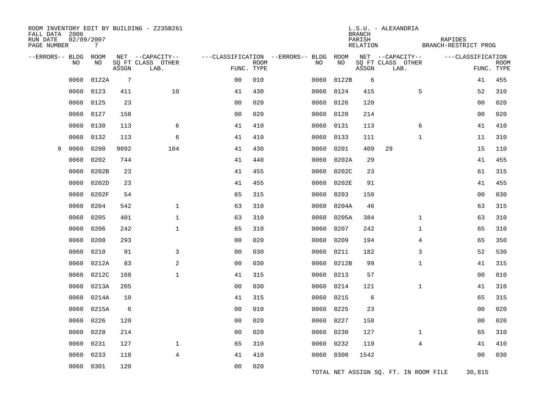| FALL DATA 2006<br>RUN DATE<br>PAGE NUMBER | 02/09/2007 | $7\phantom{.0}$ |                 | ROOM INVENTORY EDIT BY BUILDING - Z235B261    |                |             |                                         |           |            | <b>BRANCH</b><br>PARISH<br>RELATION | L.S.U. - ALEXANDRIA                           | RAPIDES<br>BRANCH-RESTRICT PROG |                                 |             |
|-------------------------------------------|------------|-----------------|-----------------|-----------------------------------------------|----------------|-------------|-----------------------------------------|-----------|------------|-------------------------------------|-----------------------------------------------|---------------------------------|---------------------------------|-------------|
| --ERRORS-- BLDG                           | NO         | ROOM<br>NO      | ASSGN           | NET --CAPACITY--<br>SQ FT CLASS OTHER<br>LAB. | FUNC. TYPE     | <b>ROOM</b> | ---CLASSIFICATION --ERRORS-- BLDG<br>NO |           | ROOM<br>NO | ASSGN                               | NET --CAPACITY--<br>SQ FT CLASS OTHER<br>LAB. |                                 | ---CLASSIFICATION<br>FUNC. TYPE | <b>ROOM</b> |
|                                           | 0060       | 0122A           | $7\phantom{.0}$ |                                               | 0 <sub>0</sub> | 010         | 0060                                    |           | 0122B      | 6                                   |                                               |                                 | 41                              | 455         |
|                                           | 0060       | 0123            | 411             | 10                                            | 41             | 430         | 0060                                    | 0124      |            | 415                                 |                                               | 5                               | 52                              | 310         |
|                                           | 0060       | 0125            | 23              |                                               | 0 <sub>0</sub> | 020         | 0060                                    |           | 0126       | 120                                 |                                               |                                 | 0 <sub>0</sub>                  | 020         |
|                                           | 0060       | 0127            | 158             |                                               | 0 <sub>0</sub> | 020         | 0060                                    | 0128      |            | 214                                 |                                               |                                 | 00                              | 020         |
|                                           | 0060       | 0130            | 113             | 6                                             | 41             | 410         | 0060                                    |           | 0131       | 113                                 |                                               | 6                               | 41                              | 410         |
|                                           | 0060       | 0132            | 113             | 6                                             | 41             | 410         | 0060                                    | 0133      |            | 111                                 |                                               | $\mathbf{1}$                    | 11                              | 310         |
| 9                                         | 0060       | 0200            | 9092            | 104                                           | 41             | 430         | 0060                                    |           | 0201       | 409                                 | 29                                            |                                 | 15                              | 110         |
|                                           | 0060       | 0202            | 744             |                                               | 41             | 440         | 0060                                    |           | 0202A      | 29                                  |                                               |                                 | 41                              | 455         |
|                                           | 0060       | 0202B           | 23              |                                               | 41             | 455         | 0060                                    |           | 0202C      | 23                                  |                                               |                                 | 61                              | 315         |
|                                           | 0060       | 0202D           | 23              |                                               | 41             | 455         | 0060                                    |           | 0202E      | 91                                  |                                               |                                 | 41                              | 455         |
|                                           | 0060       | 0202F           | 54              |                                               | 65             | 315         | 0060                                    |           | 0203       | 150                                 |                                               |                                 | 0 <sub>0</sub>                  | 030         |
|                                           | 0060       | 0204            | 542             | $\mathbf 1$                                   | 63             | 310         | 0060                                    |           | 0204A      | 46                                  |                                               |                                 | 63                              | 315         |
|                                           | 0060       | 0205            | 401             | $\mathbf 1$                                   | 63             | 310         | 0060                                    |           | 0205A      | 384                                 |                                               | $\mathbf{1}$                    | 63                              | 310         |
|                                           | 0060       | 0206            | 242             | $\mathbf{1}$                                  | 65             | 310         | 0060                                    |           | 0207       | 242                                 |                                               | $\mathbf{1}$                    | 65                              | 310         |
|                                           | 0060       | 0208            | 293             |                                               | 0 <sub>0</sub> | 020         | 0060                                    | 0209      |            | 194                                 |                                               | $\overline{4}$                  | 65                              | 350         |
|                                           | 0060       | 0210            | 91              | 3                                             | 0 <sub>0</sub> | 030         | 0060                                    |           | 0211       | 182                                 |                                               | 3                               | 52                              | 530         |
|                                           | 0060       | 0212A           | 83              | $\mathbf{2}$                                  | 0 <sub>0</sub> | 030         | 0060                                    |           | 0212B      | 99                                  |                                               | $\mathbf{1}$                    | 41                              | 315         |
|                                           | 0060       | 0212C           | 168             | $\mathbf{1}$                                  | 41             | 315         | 0060                                    | 0213      |            | 57                                  |                                               |                                 | 00                              | 010         |
|                                           | 0060       | 0213A           | 205             |                                               | 0 <sub>0</sub> | 030         | 0060                                    |           | 0214       | 121                                 |                                               | $\mathbf{1}$                    | 41                              | 310         |
|                                           | 0060       | 0214A           | 10              |                                               | 41             | 315         | 0060                                    | 0215      |            | 6                                   |                                               |                                 | 65                              | 315         |
|                                           | 0060       | 0215A           | 6               |                                               | 0 <sub>0</sub> | 010         | 0060                                    | 0225      |            | 23                                  |                                               |                                 | 00                              | 020         |
|                                           | 0060       | 0226            | 120             |                                               | 0 <sub>0</sub> | 020         | 0060                                    | 0227      |            | 158                                 |                                               |                                 | 00                              | 020         |
|                                           | 0060       | 0228            | 214             |                                               | 0 <sub>0</sub> | 020         | 0060                                    | 0230      |            | 127                                 |                                               | $\mathbf{1}$                    | 65                              | 310         |
|                                           | 0060       | 0231            | 127             | $\mathbf 1$                                   | 65             | 310         | 0060                                    |           | 0232       | 119                                 |                                               | $\overline{4}$                  | 41                              | 410         |
|                                           | 0060       | 0233            | 118             | 4                                             | 41             | 410         |                                         | 0060 0300 |            | 1542                                |                                               |                                 | 0 <sub>0</sub>                  | 030         |
|                                           | 0060       | 0301            | 120             |                                               | 0 <sub>0</sub> | 020         |                                         |           |            |                                     | TOTAL NET ASSIGN SQ. FT. IN ROOM FILE         |                                 | 30,815                          |             |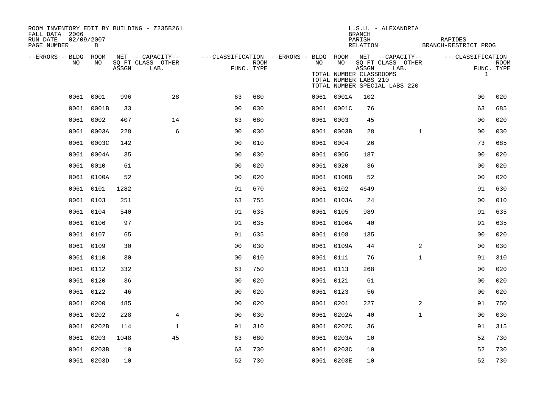| ROOM INVENTORY EDIT BY BUILDING - Z235B261<br>FALL DATA 2006<br>02/09/2007<br>RUN DATE<br>PAGE NUMBER | 8          |       |                           |                                                         |      |            |    | BRANCH<br>PARISH<br>RELATION                              | L.S.U. - ALEXANDRIA                                        |              | RAPIDES<br>BRANCH-RESTRICT PROG |                |                           |
|-------------------------------------------------------------------------------------------------------|------------|-------|---------------------------|---------------------------------------------------------|------|------------|----|-----------------------------------------------------------|------------------------------------------------------------|--------------|---------------------------------|----------------|---------------------------|
| --ERRORS-- BLDG ROOM                                                                                  |            |       | NET --CAPACITY--          | ---CLASSIFICATION --ERRORS-- BLDG ROOM NET --CAPACITY-- |      |            |    |                                                           |                                                            |              | ---CLASSIFICATION               |                |                           |
| NO                                                                                                    | NO         | ASSGN | SQ FT CLASS OTHER<br>LAB. | FUNC. TYPE                                              | ROOM | NO         | NO | ASSGN<br>TOTAL NUMBER CLASSROOMS<br>TOTAL NUMBER LABS 210 | SQ FT CLASS OTHER<br>LAB.<br>TOTAL NUMBER SPECIAL LABS 220 |              |                                 | $\mathbf{1}$   | <b>ROOM</b><br>FUNC. TYPE |
|                                                                                                       | 0061 0001  | 996   | 28                        | 63                                                      | 680  | 0061 0001A |    | 102                                                       |                                                            |              |                                 | 0 <sub>0</sub> | 020                       |
|                                                                                                       | 0061 0001B | 33    |                           | 0 <sub>0</sub>                                          | 030  | 0061 0001C |    | 76                                                        |                                                            |              |                                 | 63             | 685                       |
|                                                                                                       | 0061 0002  | 407   | 14                        | 63                                                      | 680  | 0061 0003  |    | 45                                                        |                                                            |              |                                 | 0 <sub>0</sub> | 020                       |
|                                                                                                       | 0061 0003A | 228   | 6                         | 0 <sub>0</sub>                                          | 030  | 0061 0003B |    | 28                                                        |                                                            | $\mathbf{1}$ |                                 | 00             | 030                       |
|                                                                                                       | 0061 0003C | 142   |                           | 0 <sub>0</sub>                                          | 010  | 0061 0004  |    | 26                                                        |                                                            |              |                                 | 73             | 685                       |
|                                                                                                       | 0061 0004A | 35    |                           | 0 <sub>0</sub>                                          | 030  | 0061 0005  |    | 187                                                       |                                                            |              |                                 | 00             | 020                       |
|                                                                                                       | 0061 0010  | 61    |                           | 0 <sub>0</sub>                                          | 020  | 0061 0020  |    | 36                                                        |                                                            |              |                                 | 0 <sub>0</sub> | 020                       |
|                                                                                                       | 0061 0100A | 52    |                           | 0 <sub>0</sub>                                          | 020  | 0061 0100B |    | 52                                                        |                                                            |              |                                 | 0 <sub>0</sub> | 020                       |
|                                                                                                       | 0061 0101  | 1282  |                           | 91                                                      | 670  | 0061 0102  |    | 4649                                                      |                                                            |              |                                 | 91             | 630                       |
|                                                                                                       | 0061 0103  | 251   |                           | 63                                                      | 755  | 0061 0103A |    | 24                                                        |                                                            |              |                                 | 0 <sub>0</sub> | 010                       |
|                                                                                                       | 0061 0104  | 540   |                           | 91                                                      | 635  | 0061 0105  |    | 989                                                       |                                                            |              |                                 | 91             | 635                       |
|                                                                                                       | 0061 0106  | 97    |                           | 91                                                      | 635  | 0061 0106A |    | 40                                                        |                                                            |              |                                 | 91             | 635                       |
|                                                                                                       | 0061 0107  | 65    |                           | 91                                                      | 635  | 0061 0108  |    | 135                                                       |                                                            |              |                                 | 00             | 020                       |
|                                                                                                       | 0061 0109  | 30    |                           | 0 <sub>0</sub>                                          | 030  | 0061 0109A |    | 44                                                        |                                                            | 2            |                                 | 0 <sub>0</sub> | 030                       |
|                                                                                                       | 0061 0110  | 30    |                           | 0 <sub>0</sub>                                          | 010  | 0061 0111  |    | 76                                                        |                                                            | $\mathbf{1}$ |                                 | 91             | 310                       |
|                                                                                                       | 0061 0112  | 332   |                           | 63                                                      | 750  | 0061 0113  |    | 268                                                       |                                                            |              |                                 | 00             | 020                       |
|                                                                                                       | 0061 0120  | 36    |                           | 0 <sub>0</sub>                                          | 020  | 0061 0121  |    | 61                                                        |                                                            |              |                                 | 0 <sub>0</sub> | 020                       |
|                                                                                                       | 0061 0122  | 46    |                           | 0 <sub>0</sub>                                          | 020  | 0061 0123  |    | 56                                                        |                                                            |              |                                 | 0 <sub>0</sub> | 020                       |
|                                                                                                       | 0061 0200  | 485   |                           | 0 <sub>0</sub>                                          | 020  | 0061 0201  |    | 227                                                       |                                                            | 2            |                                 | 91             | 750                       |
|                                                                                                       | 0061 0202  | 228   | $\overline{4}$            | 0 <sub>0</sub>                                          | 030  | 0061 0202A |    | 40                                                        |                                                            | $\mathbf{1}$ |                                 | 00             | 030                       |
|                                                                                                       | 0061 0202B | 114   | $\mathbf{1}$              | 91                                                      | 310  | 0061 0202C |    | 36                                                        |                                                            |              |                                 | 91             | 315                       |
|                                                                                                       | 0061 0203  | 1048  | 45                        | 63                                                      | 680  | 0061 0203A |    | 10                                                        |                                                            |              |                                 | 52             | 730                       |
|                                                                                                       | 0061 0203B | 10    |                           | 63                                                      | 730  | 0061 0203C |    | 10                                                        |                                                            |              |                                 | 52             | 730                       |
|                                                                                                       | 0061 0203D | 10    |                           | 52                                                      | 730  | 0061 0203E |    | 10                                                        |                                                            |              |                                 | 52             | 730                       |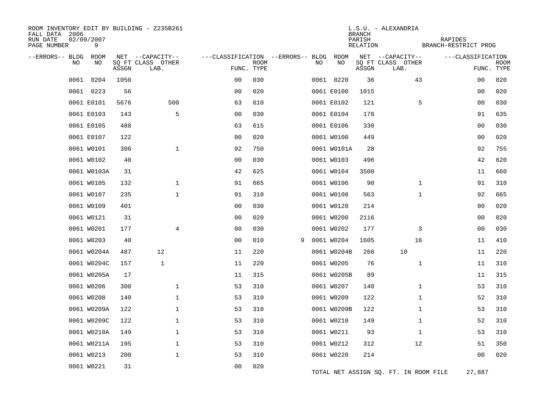| ROOM INVENTORY EDIT BY BUILDING - Z235B261<br>FALL DATA 2006<br>RUN DATE<br>PAGE NUMBER | 02/09/2007<br>9 |       |                                               |                                                 |             |   |    |             | <b>BRANCH</b><br>PARISH<br>RELATION | L.S.U. - ALEXANDRIA                           | RAPIDES<br>BRANCH-RESTRICT PROG |                           |
|-----------------------------------------------------------------------------------------|-----------------|-------|-----------------------------------------------|-------------------------------------------------|-------------|---|----|-------------|-------------------------------------|-----------------------------------------------|---------------------------------|---------------------------|
| --ERRORS-- BLDG<br>NO                                                                   | ROOM<br>NO      | ASSGN | NET --CAPACITY--<br>SQ FT CLASS OTHER<br>LAB. | ---CLASSIFICATION --ERRORS-- BLDG<br>FUNC. TYPE | <b>ROOM</b> |   | NO | ROOM<br>NO  | ASSGN                               | NET --CAPACITY--<br>SQ FT CLASS OTHER<br>LAB. | ---CLASSIFICATION               | <b>ROOM</b><br>FUNC. TYPE |
| 0061                                                                                    | 0204            | 1050  |                                               | 00                                              | 030         |   |    | 0061 0220   | 36                                  | 43                                            | 00                              | 020                       |
|                                                                                         | 0061 0223       | 56    |                                               | 0 <sub>0</sub>                                  | 020         |   |    | 0061 E0100  | 1015                                |                                               | 0 <sub>0</sub>                  | 020                       |
|                                                                                         | 0061 E0101      | 5676  | 500                                           | 63                                              | 610         |   |    | 0061 E0102  | 121                                 | 5                                             | 0 <sub>0</sub>                  | 030                       |
|                                                                                         | 0061 E0103      | 143   | 5                                             | 0 <sub>0</sub>                                  | 030         |   |    | 0061 E0104  | 178                                 |                                               | 91                              | 635                       |
|                                                                                         | 0061 E0105      | 488   |                                               | 63                                              | 615         |   |    | 0061 E0106  | 330                                 |                                               | 00                              | 030                       |
|                                                                                         | 0061 E0107      | 122   |                                               | 0 <sub>0</sub>                                  | 020         |   |    | 0061 W0100  | 449                                 |                                               | 00                              | 020                       |
|                                                                                         | 0061 W0101      | 306   | $\mathbf{1}$                                  | 92                                              | 750         |   |    | 0061 W0101A | 28                                  |                                               | 92                              | 755                       |
|                                                                                         | 0061 W0102      | 40    |                                               | 0 <sub>0</sub>                                  | 030         |   |    | 0061 W0103  | 496                                 |                                               | 42                              | 620                       |
|                                                                                         | 0061 W0103A     | 31    |                                               | 42                                              | 625         |   |    | 0061 W0104  | 3500                                |                                               | 11                              | 660                       |
|                                                                                         | 0061 W0105      | 132   | $\mathbf{1}$                                  | 91                                              | 665         |   |    | 0061 W0106  | 90                                  | $\mathbf{1}$                                  | 91                              | 310                       |
|                                                                                         | 0061 W0107      | 235   | $\mathbf{1}$                                  | 91                                              | 310         |   |    | 0061 W0108  | 563                                 | $\mathbf{1}$                                  | 92                              | 665                       |
|                                                                                         | 0061 W0109      | 401   |                                               | 0 <sub>0</sub>                                  | 030         |   |    | 0061 W0120  | 214                                 |                                               | 0 <sub>0</sub>                  | 020                       |
|                                                                                         | 0061 W0121      | 31    |                                               | 00                                              | 020         |   |    | 0061 W0200  | 2116                                |                                               | 00                              | 020                       |
|                                                                                         | 0061 W0201      | 177   | $\overline{4}$                                | 00                                              | 030         |   |    | 0061 W0202  | 177                                 | 3                                             | 00                              | 030                       |
|                                                                                         | 0061 W0203      | 40    |                                               | 0 <sub>0</sub>                                  | 010         | 9 |    | 0061 W0204  | 1605                                | 16                                            | 11                              | 410                       |
|                                                                                         | 0061 W0204A     | 487   | 12                                            | 11                                              | 220         |   |    | 0061 W0204B | 266                                 | 10                                            | 11                              | 220                       |
|                                                                                         | 0061 W0204C     | 157   | $\mathbf{1}$                                  | 11                                              | 220         |   |    | 0061 W0205  | 76                                  | $\mathbf{1}$                                  | 11                              | 310                       |
|                                                                                         | 0061 W0205A     | 17    |                                               | 11                                              | 315         |   |    | 0061 W0205B | 89                                  |                                               | 11                              | 315                       |
|                                                                                         | 0061 W0206      | 300   | $\mathbf{1}$                                  | 53                                              | 310         |   |    | 0061 W0207  | 140                                 | $\mathbf{1}$                                  | 53                              | 310                       |
|                                                                                         | 0061 W0208      | 140   | $\mathbf 1$                                   | 53                                              | 310         |   |    | 0061 W0209  | 122                                 | $\mathbf{1}$                                  | 52                              | 310                       |
|                                                                                         | 0061 W0209A     | 122   | 1                                             | 53                                              | 310         |   |    | 0061 W0209B | 122                                 | $\mathbf{1}$                                  | 53                              | 310                       |
|                                                                                         | 0061 W0209C     | 122   | 1                                             | 53                                              | 310         |   |    | 0061 W0210  | 149                                 | $\mathbf{1}$                                  | 52                              | 310                       |
|                                                                                         | 0061 W0210A     | 149   | $\mathbf 1$                                   | 53                                              | 310         |   |    | 0061 W0211  | 93                                  | 1                                             | 53                              | 310                       |
|                                                                                         | 0061 W0211A     | 195   | $\mathbf 1$                                   | 53                                              | 310         |   |    | 0061 W0212  | 312                                 | 12                                            | 51                              | 350                       |
|                                                                                         | 0061 W0213      | 200   | $\mathbf 1$                                   | 53                                              | 310         |   |    | 0061 W0220  | 214                                 |                                               | 00                              | 020                       |
|                                                                                         | 0061 W0221      | 31    |                                               | 0 <sub>0</sub>                                  | 020         |   |    |             |                                     | TOTAL NET ASSIGN SQ. FT. IN ROOM FILE         | 27,887                          |                           |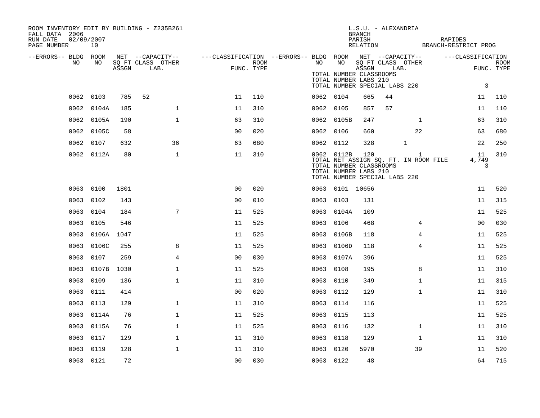| ROOM INVENTORY EDIT BY BUILDING - Z235B261<br>FALL DATA 2006<br>02/09/2007<br>RUN DATE<br>PAGE NUMBER 10 |                 |       |                                       |                                                         |      |           |                                                                | <b>BRANCH</b><br>PARISH | L.S.U. - ALEXANDRIA                   |                   |                                       | RAPIDES<br>RELATION BRANCH-RESTRICT PROG |            |
|----------------------------------------------------------------------------------------------------------|-----------------|-------|---------------------------------------|---------------------------------------------------------|------|-----------|----------------------------------------------------------------|-------------------------|---------------------------------------|-------------------|---------------------------------------|------------------------------------------|------------|
| --ERRORS-- BLDG ROOM<br>NO.                                                                              | NO.             |       | NET --CAPACITY--<br>SQ FT CLASS OTHER | ---CLASSIFICATION --ERRORS-- BLDG ROOM NET --CAPACITY-- | ROOM | NO        | NO                                                             |                         |                                       | SQ FT CLASS OTHER |                                       | ---CLASSIFICATION                        | ROOM       |
|                                                                                                          |                 | ASSGN | LAB.                                  | FUNC. TYPE                                              |      |           | TOTAL NUMBER CLASSROOMS<br>TOTAL NUMBER LABS 210               | ASSGN                   | LAB.<br>TOTAL NUMBER SPECIAL LABS 220 |                   |                                       | $\overline{3}$                           | FUNC. TYPE |
|                                                                                                          | 0062 0103       | 785   | 52                                    | 11                                                      | 110  | 0062 0104 |                                                                | 665                     | 44                                    |                   |                                       | 11                                       | 110        |
|                                                                                                          | 0062 0104A      | 185   | $\mathbf 1$                           | 11                                                      | 310  | 0062 0105 |                                                                | 857                     | 57                                    |                   |                                       | 11                                       | 110        |
|                                                                                                          | 0062 0105A      | 190   | $\mathbf{1}$                          | 63                                                      | 310  |           | 0062 0105B                                                     | 247                     |                                       | $\mathbf{1}$      |                                       | 63                                       | 310        |
|                                                                                                          | 0062 0105C      | 58    |                                       | 0 <sub>0</sub>                                          | 020  | 0062 0106 |                                                                | 660                     |                                       | 22                |                                       | 63                                       | 680        |
|                                                                                                          | 0062 0107       | 632   | 36                                    | 63                                                      | 680  | 0062 0112 |                                                                | 328                     |                                       | $\mathbf{1}$      |                                       | 22                                       | 250        |
|                                                                                                          | 0062 0112A      | 80    | $\mathbf 1$                           | 11                                                      | 310  |           | 0062 0112B<br>TOTAL NUMBER CLASSROOMS<br>TOTAL NUMBER LABS 210 | 120                     | TOTAL NUMBER SPECIAL LABS 220         | $\mathbf{1}$      | TOTAL NET ASSIGN SQ. FT. IN ROOM FILE | 11<br>4,749<br>3                         | 310        |
|                                                                                                          | 0063 0100       | 1801  |                                       | 0 <sup>0</sup>                                          | 020  |           | 0063 0101 10656                                                |                         |                                       |                   |                                       | 11                                       | 520        |
|                                                                                                          | 0063 0102       | 143   |                                       | 0 <sub>0</sub>                                          | 010  | 0063 0103 |                                                                | 131                     |                                       |                   |                                       | 11                                       | 315        |
|                                                                                                          | 0063 0104       | 184   | 7                                     | 11                                                      | 525  |           | 0063 0104A                                                     | 109                     |                                       |                   |                                       | 11                                       | 525        |
|                                                                                                          | 0063 0105       | 546   |                                       | 11                                                      | 525  | 0063 0106 |                                                                | 468                     |                                       | 4                 |                                       | 0 <sub>0</sub>                           | 030        |
|                                                                                                          | 0063 0106A 1047 |       |                                       | 11                                                      | 525  |           | 0063 0106B                                                     | 118                     |                                       | 4                 |                                       | 11                                       | 525        |
|                                                                                                          | 0063 0106C      | 255   | 8                                     | 11                                                      | 525  |           | 0063 0106D                                                     | 118                     |                                       | $\overline{4}$    |                                       | 11                                       | 525        |
|                                                                                                          | 0063 0107       | 259   | 4                                     | 0 <sub>0</sub>                                          | 030  |           | 0063 0107A                                                     | 396                     |                                       |                   |                                       | 11                                       | 525        |
|                                                                                                          | 0063 0107B      | 1030  | $\mathbf{1}$                          | 11                                                      | 525  | 0063 0108 |                                                                | 195                     |                                       | 8                 |                                       | 11                                       | 310        |
|                                                                                                          | 0063 0109       | 136   | $\mathbf{1}$                          | 11                                                      | 310  | 0063 0110 |                                                                | 349                     |                                       | $\mathbf{1}$      |                                       | 11                                       | 315        |
|                                                                                                          | 0063 0111       | 414   |                                       | 0 <sub>0</sub>                                          | 020  | 0063 0112 |                                                                | 129                     |                                       | $\mathbf{1}$      |                                       | 11                                       | 310        |
|                                                                                                          | 0063 0113       | 129   | $\mathbf{1}$                          | 11                                                      | 310  | 0063 0114 |                                                                | 116                     |                                       |                   |                                       | 11                                       | 525        |
|                                                                                                          | 0063 0114A      | 76    | $\mathbf{1}$                          | 11                                                      | 525  | 0063 0115 |                                                                | 113                     |                                       |                   |                                       | 11                                       | 525        |
|                                                                                                          | 0063 0115A      | 76    | $\mathbf{1}$                          | 11                                                      | 525  | 0063 0116 |                                                                | 132                     |                                       | $\mathbf{1}$      |                                       | 11                                       | 310        |
|                                                                                                          | 0063 0117       | 129   | $\mathbf 1$                           | 11                                                      | 310  | 0063 0118 |                                                                | 129                     |                                       | $\mathbf{1}$      |                                       | 11                                       | 310        |
|                                                                                                          | 0063 0119       | 128   | $\mathbf{1}$                          | 11                                                      | 310  | 0063 0120 |                                                                | 5970                    |                                       | 39                |                                       | 11                                       | 520        |
|                                                                                                          | 0063 0121       | 72    |                                       | 0 <sub>0</sub>                                          | 030  | 0063 0122 |                                                                | 48                      |                                       |                   |                                       | 64                                       | 715        |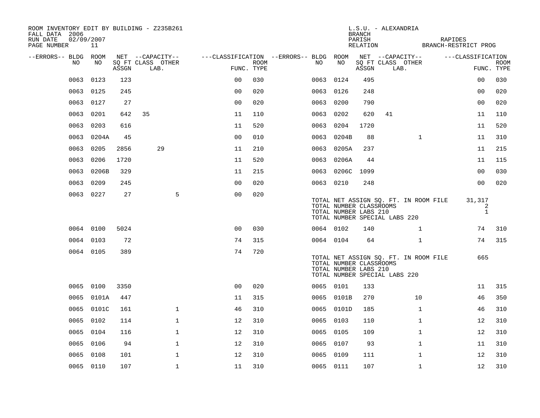| ROOM INVENTORY EDIT BY BUILDING - Z235B261<br>FALL DATA 2006<br>RUN DATE<br>PAGE NUMBER | 02/09/2007<br>11 |       |                           |                |                    |                                        |                                                  | <b>BRANCH</b><br>PARISH<br>RELATION | L.S.U. - ALEXANDRIA<br>BRANCH-RESTRICT PROG                            | <b>RAPIDES</b>              |                           |
|-----------------------------------------------------------------------------------------|------------------|-------|---------------------------|----------------|--------------------|----------------------------------------|--------------------------------------------------|-------------------------------------|------------------------------------------------------------------------|-----------------------------|---------------------------|
| --ERRORS-- BLDG ROOM                                                                    |                  |       | NET --CAPACITY--          |                |                    | ---CLASSIFICATION --ERRORS-- BLDG ROOM |                                                  |                                     | NET --CAPACITY--                                                       | ---CLASSIFICATION           |                           |
| NO.                                                                                     | NO               | ASSGN | SO FT CLASS OTHER<br>LAB. |                | ROOM<br>FUNC. TYPE | NO                                     | NO                                               | ASSGN                               | SQ FT CLASS OTHER<br>LAB.                                              |                             | <b>ROOM</b><br>FUNC. TYPE |
| 0063                                                                                    | 0123             | 123   |                           | 0 <sub>0</sub> | 030                |                                        | 0063 0124                                        | 495                                 |                                                                        | 0 <sub>0</sub>              | 030                       |
|                                                                                         | 0063 0125        | 245   |                           | 0 <sub>0</sub> | 020                |                                        | 0063 0126                                        | 248                                 |                                                                        | 00                          | 020                       |
|                                                                                         | 0063 0127        | 27    |                           | 0 <sub>0</sub> | 020                |                                        | 0063 0200                                        | 790                                 |                                                                        | 0 <sub>0</sub>              | 020                       |
| 0063                                                                                    | 0201             | 642   | 35                        | 11             | 110                |                                        | 0063 0202                                        | 620                                 | 41                                                                     | 11                          | 110                       |
| 0063                                                                                    | 0203             | 616   |                           | 11             | 520                | 0063                                   | 0204                                             | 1720                                |                                                                        | 11                          | 520                       |
| 0063                                                                                    | 0204A            | 45    |                           | 0 <sub>0</sub> | 010                | 0063                                   | 0204B                                            | 88                                  | $\mathbf{1}$                                                           | 11                          | 310                       |
| 0063                                                                                    | 0205             | 2856  | 29                        | 11             | 210                |                                        | 0063 0205A                                       | 237                                 |                                                                        | 11                          | 215                       |
| 0063                                                                                    | 0206             | 1720  |                           | 11             | 520                | 0063                                   | 0206A                                            | 44                                  |                                                                        | 11                          | 115                       |
| 0063                                                                                    | 0206B            | 329   |                           | 11             | 215                | 0063                                   | 0206C                                            | 1099                                |                                                                        | 0 <sub>0</sub>              | 030                       |
| 0063                                                                                    | 0209             | 245   |                           | 0 <sub>0</sub> | 020                |                                        | 0063 0210                                        | 248                                 |                                                                        | 00                          | 020                       |
|                                                                                         | 0063 0227        | 27    | 5                         | 0 <sub>0</sub> | 020                |                                        | TOTAL NUMBER CLASSROOMS<br>TOTAL NUMBER LABS 210 |                                     | TOTAL NET ASSIGN SQ. FT. IN ROOM FILE<br>TOTAL NUMBER SPECIAL LABS 220 | 31,317<br>2<br>$\mathbf{1}$ |                           |
|                                                                                         | 0064 0100        | 5024  |                           | 0 <sub>0</sub> | 030                |                                        | 0064 0102                                        | 140                                 | $\mathbf{1}$                                                           | 74                          | 310                       |
|                                                                                         | 0064 0103        | 72    |                           | 74             | 315                |                                        | 0064 0104                                        | 64                                  | $\mathbf{1}$                                                           | 74                          | 315                       |
|                                                                                         | 0064 0105        | 389   |                           | 74             | 720                |                                        | TOTAL NUMBER CLASSROOMS<br>TOTAL NUMBER LABS 210 |                                     | TOTAL NET ASSIGN SQ. FT. IN ROOM FILE<br>TOTAL NUMBER SPECIAL LABS 220 | 665                         |                           |
|                                                                                         | 0065 0100        | 3350  |                           | 0 <sub>0</sub> | 020                |                                        | 0065 0101                                        | 133                                 |                                                                        | 11                          | 315                       |
| 0065                                                                                    | 0101A            | 447   |                           | 11             | 315                |                                        | 0065 0101B                                       | 270                                 | 10                                                                     | 46                          | 350                       |
|                                                                                         | 0065 0101C       | 161   | $\mathbf 1$               | 46             | 310                |                                        | 0065 0101D                                       | 185                                 | $\mathbf{1}$                                                           | 46                          | 310                       |
| 0065                                                                                    | 0102             | 114   | $\mathbf{1}$              | 12             | 310                |                                        | 0065 0103                                        | 110                                 | $\mathbf{1}$                                                           | 12                          | 310                       |
|                                                                                         | 0065 0104        | 116   | $\mathbf{1}$              | 12             | 310                |                                        | 0065 0105                                        | 109                                 | $\mathbf{1}$                                                           | 12                          | 310                       |
| 0065                                                                                    | 0106             | 94    | $\mathbf 1$               | 12             | 310                |                                        | 0065 0107                                        | 93                                  | $\mathbf{1}$                                                           | 11                          | 310                       |
| 0065                                                                                    | 0108             | 101   | $\mathbf{1}$              | 12             | 310                |                                        | 0065 0109                                        | 111                                 | $\mathbf{1}$                                                           | 12                          | 310                       |
|                                                                                         | 0065 0110        | 107   | $\mathbf 1$               | 11             | 310                |                                        | 0065 0111                                        | 107                                 | $\mathbf{1}$                                                           | 12                          | 310                       |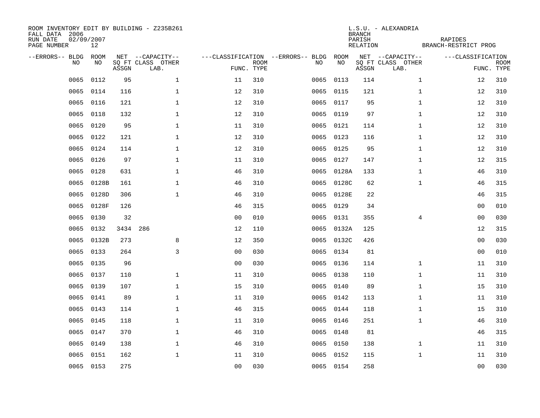| ROOM INVENTORY EDIT BY BUILDING - Z235B261<br>FALL DATA 2006<br>RUN DATE<br>PAGE NUMBER | 02/09/2007<br>12 |          |                                               |                |                           |                                         |            | <b>BRANCH</b><br>PARISH<br>RELATION | L.S.U. - ALEXANDRIA                           | RAPIDES<br>BRANCH-RESTRICT PROG |                           |
|-----------------------------------------------------------------------------------------|------------------|----------|-----------------------------------------------|----------------|---------------------------|-----------------------------------------|------------|-------------------------------------|-----------------------------------------------|---------------------------------|---------------------------|
| --ERRORS-- BLDG<br><b>NO</b>                                                            | ROOM<br>NO.      | ASSGN    | NET --CAPACITY--<br>SQ FT CLASS OTHER<br>LAB. |                | <b>ROOM</b><br>FUNC. TYPE | ---CLASSIFICATION --ERRORS-- BLDG<br>NO | ROOM<br>NO | ASSGN                               | NET --CAPACITY--<br>SQ FT CLASS OTHER<br>LAB. | ---CLASSIFICATION               | <b>ROOM</b><br>FUNC. TYPE |
| 0065                                                                                    | 0112             | 95       | $\mathbf{1}$                                  | 11             | 310                       | 0065                                    | 0113       | 114                                 | $\mathbf{1}$                                  | 12                              | 310                       |
| 0065                                                                                    | 0114             | 116      | $\mathbf 1$                                   | 12             | 310                       |                                         | 0065 0115  | 121                                 | $\mathbf{1}$                                  | 12                              | 310                       |
| 0065                                                                                    | 0116             | 121      | $\mathbf{1}$                                  | 12             | 310                       | 0065                                    | 0117       | 95                                  | $\mathbf{1}$                                  | 12                              | 310                       |
| 0065                                                                                    | 0118             | 132      | $\mathbf{1}$                                  | 12             | 310                       |                                         | 0065 0119  | 97                                  | $\mathbf{1}$                                  | 12                              | 310                       |
| 0065                                                                                    | 0120             | 95       | $\mathbf{1}$                                  | 11             | 310                       | 0065                                    | 0121       | 114                                 | $\mathbf{1}$                                  | 12                              | 310                       |
| 0065                                                                                    | 0122             | 121      | $\mathbf 1$                                   | 12             | 310                       |                                         | 0065 0123  | 116                                 | $\mathbf{1}$                                  | 12                              | 310                       |
| 0065                                                                                    | 0124             | 114      | $\mathbf{1}$                                  | 12             | 310                       |                                         | 0065 0125  | 95                                  | $\mathbf{1}$                                  | 12                              | 310                       |
| 0065                                                                                    | 0126             | 97       | $\mathbf 1$                                   | 11             | 310                       |                                         | 0065 0127  | 147                                 | $\mathbf{1}$                                  | 12                              | 315                       |
| 0065                                                                                    | 0128             | 631      | $\mathbf 1$                                   | 46             | 310                       | 0065                                    | 0128A      | 133                                 | $\mathbf{1}$                                  | 46                              | 310                       |
| 0065                                                                                    | 0128B            | 161      | $\mathbf 1$                                   | 46             | 310                       |                                         | 0065 0128C | 62                                  | $\mathbf{1}$                                  | 46                              | 315                       |
| 0065                                                                                    | 0128D            | 306      | $\mathbf{1}$                                  | 46             | 310                       | 0065                                    | 0128E      | 22                                  |                                               | 46                              | 315                       |
| 0065                                                                                    | 0128F            | 126      |                                               | 46             | 315                       |                                         | 0065 0129  | 34                                  |                                               | 00                              | 010                       |
| 0065                                                                                    | 0130             | 32       |                                               | 0 <sub>0</sub> | 010                       | 0065                                    | 0131       | 355                                 | 4                                             | 00                              | 030                       |
| 0065                                                                                    | 0132             | 3434 286 |                                               | 12             | 110                       |                                         | 0065 0132A | 125                                 |                                               | 12                              | 315                       |
| 0065                                                                                    | 0132B            | 273      | 8                                             | 12             | 350                       | 0065                                    | 0132C      | 426                                 |                                               | 0 <sub>0</sub>                  | 030                       |
| 0065                                                                                    | 0133             | 264      | 3                                             | 0 <sub>0</sub> | 030                       |                                         | 0065 0134  | 81                                  |                                               | 00                              | 010                       |
| 0065                                                                                    | 0135             | 96       |                                               | 0 <sub>0</sub> | 030                       | 0065                                    | 0136       | 114                                 | $\mathbf{1}$                                  | 11                              | 310                       |
| 0065                                                                                    | 0137             | 110      | $\mathbf{1}$                                  | 11             | 310                       |                                         | 0065 0138  | 110                                 | $\mathbf{1}$                                  | 11                              | 310                       |
| 0065                                                                                    | 0139             | 107      | $\mathbf 1$                                   | 15             | 310                       | 0065                                    | 0140       | 89                                  | $\mathbf{1}$                                  | 15                              | 310                       |
| 0065                                                                                    | 0141             | 89       | $\mathbf{1}$                                  | 11             | 310                       |                                         | 0065 0142  | 113                                 | $\mathbf{1}$                                  | 11                              | 310                       |
| 0065                                                                                    | 0143             | 114      | $\mathbf{1}$                                  | 46             | 315                       |                                         | 0065 0144  | 118                                 | $\mathbf{1}$                                  | 15                              | 310                       |
| 0065                                                                                    | 0145             | 118      | $\mathbf{1}$                                  | 11             | 310                       |                                         | 0065 0146  | 251                                 | $\mathbf{1}$                                  | 46                              | 310                       |
| 0065                                                                                    | 0147             | 370      | $\mathbf 1$                                   | 46             | 310                       |                                         | 0065 0148  | 81                                  |                                               | 46                              | 315                       |
| 0065                                                                                    | 0149             | 138      | $\mathbf 1$                                   | 46             | 310                       |                                         | 0065 0150  | 138                                 | $\mathbf{1}$                                  | 11                              | 310                       |
| 0065                                                                                    | 0151             | 162      | $\mathbf 1$                                   | 11             | 310                       |                                         | 0065 0152  | 115                                 | $\mathbf{1}$                                  | 11                              | 310                       |
|                                                                                         | 0065 0153        | 275      |                                               | 0 <sub>0</sub> | 030                       |                                         | 0065 0154  | 258                                 |                                               | 0 <sub>0</sub>                  | 030                       |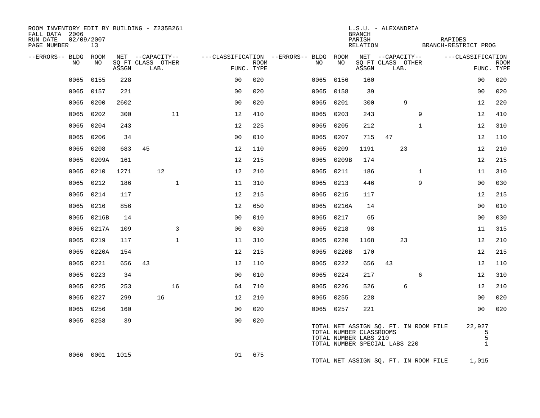| ROOM INVENTORY EDIT BY BUILDING - Z235B261<br>FALL DATA 2006<br>02/09/2007<br>RUN DATE<br>PAGE NUMBER 13 |                |       |      |                                       |                |                           |                                              |            | <b>BRANCH</b><br>PARISH                          | L.S.U. - ALEXANDRIA                                                    |              | RAPIDES<br>RELATION BRANCH-RESTRICT PROG |                                  |             |
|----------------------------------------------------------------------------------------------------------|----------------|-------|------|---------------------------------------|----------------|---------------------------|----------------------------------------------|------------|--------------------------------------------------|------------------------------------------------------------------------|--------------|------------------------------------------|----------------------------------|-------------|
| --ERRORS-- BLDG ROOM<br>NO                                                                               | NO             | ASSGN | LAB. | NET --CAPACITY--<br>SQ FT CLASS OTHER |                | <b>ROOM</b><br>FUNC. TYPE | ---CLASSIFICATION --ERRORS-- BLDG ROOM<br>NO | NO         | ASSGN                                            | NET --CAPACITY--<br>SQ FT CLASS OTHER<br>LAB.                          |              |                                          | ---CLASSIFICATION<br>FUNC. TYPE  | <b>ROOM</b> |
| 0065                                                                                                     | 0155           | 228   |      |                                       | 0 <sup>0</sup> | 020                       | 0065 0156                                    |            | 160                                              |                                                                        |              |                                          | 0 <sub>0</sub>                   | 020         |
|                                                                                                          | 0065 0157      | 221   |      |                                       | 0 <sub>0</sub> | 020                       | 0065 0158                                    |            | 39                                               |                                                                        |              |                                          | 0 <sub>0</sub>                   | 020         |
| 0065                                                                                                     | 0200           | 2602  |      |                                       | 0 <sub>0</sub> | 020                       | 0065 0201                                    |            | 300                                              | 9                                                                      |              |                                          | 12                               | 220         |
| 0065                                                                                                     | 0202           | 300   |      | 11                                    | 12             | 410                       | 0065 0203                                    |            | 243                                              |                                                                        | 9            |                                          | 12                               | 410         |
| 0065                                                                                                     | 0204           | 243   |      |                                       | 12             | 225                       | 0065 0205                                    |            | 212                                              |                                                                        | $\mathbf{1}$ |                                          | 12                               | 310         |
| 0065                                                                                                     | 0206           | 34    |      |                                       | 0 <sub>0</sub> | 010                       | 0065 0207                                    |            | 715                                              | 47                                                                     |              |                                          | 12                               | 110         |
|                                                                                                          | 0065 0208      | 683   | 45   |                                       | 12             | 110                       | 0065 0209                                    |            | 1191                                             | 23                                                                     |              |                                          | 12                               | 210         |
| 0065                                                                                                     | 0209A          | 161   |      |                                       | 12             | 215                       |                                              | 0065 0209B | 174                                              |                                                                        |              |                                          | 12                               | 215         |
|                                                                                                          | 0065 0210      | 1271  |      | 12                                    | 12             | 210                       | 0065 0211                                    |            | 186                                              |                                                                        | $\mathbf{1}$ |                                          | 11                               | 310         |
|                                                                                                          | 0065 0212      | 186   |      | $\mathbf{1}$                          | 11             | 310                       | 0065 0213                                    |            | 446                                              |                                                                        | 9            |                                          | 00                               | 030         |
|                                                                                                          | 0065 0214      | 117   |      |                                       | 12             | 215                       | 0065 0215                                    |            | 117                                              |                                                                        |              |                                          | 12                               | 215         |
| 0065                                                                                                     | 0216           | 856   |      |                                       | 12             | 650                       |                                              | 0065 0216A | 14                                               |                                                                        |              |                                          | 0 <sub>0</sub>                   | 010         |
|                                                                                                          | 0065 0216B     | 14    |      |                                       | 0 <sub>0</sub> | 010                       | 0065 0217                                    |            | 65                                               |                                                                        |              |                                          | 0 <sub>0</sub>                   | 030         |
|                                                                                                          | 0065 0217A     | 109   |      | 3                                     | 0 <sub>0</sub> | 030                       | 0065 0218                                    |            | 98                                               |                                                                        |              |                                          | 11                               | 315         |
| 0065                                                                                                     | 0219           | 117   |      | $\mathbf{1}$                          | 11             | 310                       | 0065 0220                                    |            | 1168                                             | 23                                                                     |              |                                          | 12                               | 210         |
|                                                                                                          | 0065 0220A     | 154   |      |                                       | 12             | 215                       |                                              | 0065 0220B | 170                                              |                                                                        |              |                                          | 12                               | 215         |
|                                                                                                          | 0065 0221      | 656   | 43   |                                       | 12             | 110                       | 0065 0222                                    |            | 656                                              | 43                                                                     |              |                                          | 12                               | 110         |
|                                                                                                          | 0065 0223      | 34    |      |                                       | 0 <sub>0</sub> | 010                       | 0065 0224                                    |            | 217                                              |                                                                        | 6            |                                          | 12                               | 310         |
|                                                                                                          | 0065 0225      | 253   |      | 16                                    | 64             | 710                       | 0065 0226                                    |            | 526                                              | 6                                                                      |              |                                          | 12                               | 210         |
|                                                                                                          | 0065 0227      | 299   |      | 16                                    | 12             | 210                       | 0065 0255                                    |            | 228                                              |                                                                        |              |                                          | 0 <sub>0</sub>                   | 020         |
|                                                                                                          | 0065 0256      | 160   |      |                                       | 0 <sub>0</sub> | 020                       | 0065 0257                                    |            | 221                                              |                                                                        |              |                                          | 0 <sub>0</sub>                   | 020         |
|                                                                                                          | 0065 0258      | 39    |      |                                       | 0 <sub>0</sub> | 020                       |                                              |            | TOTAL NUMBER CLASSROOMS<br>TOTAL NUMBER LABS 210 | TOTAL NET ASSIGN SQ. FT. IN ROOM FILE<br>TOTAL NUMBER SPECIAL LABS 220 |              |                                          | 22,927<br>5<br>5<br>$\mathbf{1}$ |             |
|                                                                                                          | 0066 0001 1015 |       |      |                                       | 91             | 675                       |                                              |            |                                                  | TOTAL NET ASSIGN SQ. FT. IN ROOM FILE                                  |              |                                          | 1,015                            |             |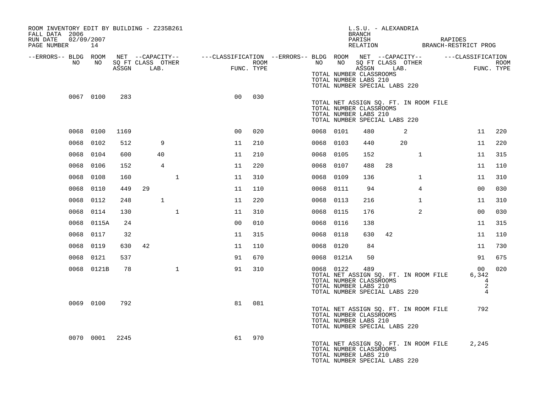| ROOM INVENTORY EDIT BY BUILDING - Z235B261<br>FALL DATA 2006<br>RUN DATE<br>02/09/2007<br>PAGE NUMBER 14 |            |      |                                 |              |                                                                                                       |                    |           |            | L.S.U. - ALEXANDRIA<br>BRANCH<br>PARISH                                                                                 |    |                |                                       | RAPIDES<br>PARISH RAPIDES<br>RELATION BRANCH-RESTRICT PROG |     |
|----------------------------------------------------------------------------------------------------------|------------|------|---------------------------------|--------------|-------------------------------------------------------------------------------------------------------|--------------------|-----------|------------|-------------------------------------------------------------------------------------------------------------------------|----|----------------|---------------------------------------|------------------------------------------------------------|-----|
| --ERRORS-- BLDG ROOM<br>NO                                                                               | NO         |      | SQ FT CLASS OTHER<br>ASSGN LAB. |              | NET --CAPACITY-- - ---CLASSIFICATION --ERRORS-- BLDG ROOM NET --CAPACITY-- - ---CLASSIFICATION<br>FUN | ROOM<br>FUNC. TYPE | NO        |            | NO SQ FT CLASS OTHER<br>ASSGN LAB.<br>TOTAL NUMBER CLASSROOMS<br>TOTAL NUMBER LABS 210<br>TOTAL NUMBER SPECIAL LABS 220 |    |                |                                       | ROOM<br>FUNC. TYPE                                         |     |
|                                                                                                          | 0067 0100  | 283  |                                 |              | 0 <sub>0</sub>                                                                                        | 030                |           |            | TOTAL NUMBER CLASSROOMS<br>TOTAL NUMBER LABS 210<br>TOTAL NUMBER SPECIAL LABS 220                                       |    |                | TOTAL NET ASSIGN SQ. FT. IN ROOM FILE |                                                            |     |
|                                                                                                          | 0068 0100  | 1169 |                                 |              | 0 <sup>0</sup>                                                                                        | 020                |           | 0068 0101  | 480                                                                                                                     |    | 2              |                                       | 11                                                         | 220 |
|                                                                                                          | 0068 0102  | 512  | 9                               |              | 11                                                                                                    | 210                | 0068 0103 |            | 440                                                                                                                     |    | 20             |                                       | 11                                                         | 220 |
|                                                                                                          | 0068 0104  | 600  | 40                              |              | 11                                                                                                    | 210                | 0068 0105 |            | 152                                                                                                                     |    | $\mathbf{1}$   |                                       | 11                                                         | 315 |
|                                                                                                          | 0068 0106  | 152  | $\overline{4}$                  |              | 11                                                                                                    | 220                | 0068 0107 |            | 488                                                                                                                     | 28 |                |                                       | 11                                                         | 110 |
|                                                                                                          | 0068 0108  | 160  |                                 | $\mathbf{1}$ | 11                                                                                                    | 310                | 0068 0109 |            | 136                                                                                                                     |    | $\mathbf{1}$   |                                       | 11                                                         | 310 |
|                                                                                                          | 0068 0110  | 449  | 29                              |              | 11                                                                                                    | 110                | 0068 0111 |            | 94                                                                                                                      |    | 4              |                                       | 0 <sub>0</sub>                                             | 030 |
|                                                                                                          | 0068 0112  | 248  | $\mathbf{1}$                    |              | 11                                                                                                    | 220                | 0068 0113 |            | 216                                                                                                                     |    | $\mathbf{1}$   |                                       | 11                                                         | 310 |
|                                                                                                          | 0068 0114  | 130  |                                 | $\mathbf{1}$ | 11                                                                                                    | 310                | 0068 0115 |            | 176                                                                                                                     |    | $\overline{2}$ |                                       | 00                                                         | 030 |
|                                                                                                          | 0068 0115A | 24   |                                 |              | 0 <sub>0</sub>                                                                                        | 010                | 0068 0116 |            | 138                                                                                                                     |    |                |                                       | 11                                                         | 315 |
|                                                                                                          | 0068 0117  | 32   |                                 |              | 11                                                                                                    | 315                | 0068 0118 |            | 630                                                                                                                     | 42 |                |                                       | 11                                                         | 110 |
|                                                                                                          | 0068 0119  | 630  | 42                              |              | 11                                                                                                    | 110                | 0068 0120 |            | 84                                                                                                                      |    |                |                                       | 11                                                         | 730 |
|                                                                                                          | 0068 0121  | 537  |                                 |              | 91                                                                                                    | 670                |           | 0068 0121A | 50                                                                                                                      |    |                |                                       | 91                                                         | 675 |
|                                                                                                          | 0068 0121B | 78   |                                 | $\mathbf{1}$ | 91                                                                                                    | 310                |           | 0068 0122  | 489<br>TOTAL NUMBER CLASSROOMS<br>TOTAL NUMBER LABS 210<br>TOTAL NUMBER SPECIAL LABS 220                                |    |                | TOTAL NET ASSIGN SQ. FT. IN ROOM FILE | 0 <sub>0</sub><br>6,342<br>4<br>2<br>$\overline{4}$        | 020 |
|                                                                                                          | 0069 0100  | 792  |                                 |              | 81                                                                                                    | 081                |           |            | TOTAL NUMBER CLASSROOMS<br>TOTAL NUMBER LABS 210<br>TOTAL NUMBER SPECIAL LABS 220                                       |    |                | TOTAL NET ASSIGN SQ. FT. IN ROOM FILE | 792                                                        |     |
|                                                                                                          | 0070 0001  | 2245 |                                 |              | 61                                                                                                    | 970                |           |            | TOTAL NUMBER CLASSROOMS<br>TOTAL NUMBER LABS 210<br>TOTAL NUMBER SPECIAL LABS 220                                       |    |                | TOTAL NET ASSIGN SQ. FT. IN ROOM FILE | 2,245                                                      |     |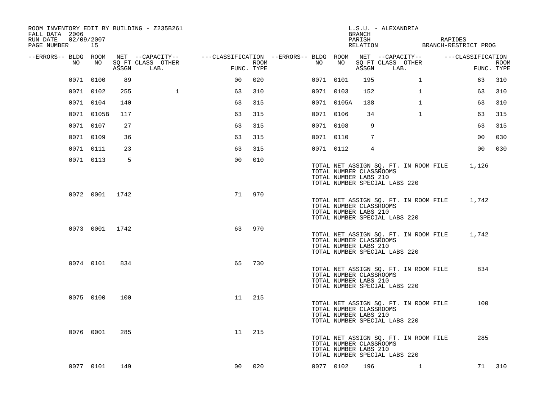| ROOM INVENTORY EDIT BY BUILDING - Z235B261<br>FALL DATA 2006<br>RUN DATE<br>02/09/2007<br>PAGE NUMBER | 15             |       |                                                                               |                |      |           |                                                  | BRANCH<br>PARISH | L.S.U. - ALEXANDRIA<br>RELATION BRANCH-RESTRICT PROG                   | RAPIDES           |             |
|-------------------------------------------------------------------------------------------------------|----------------|-------|-------------------------------------------------------------------------------|----------------|------|-----------|--------------------------------------------------|------------------|------------------------------------------------------------------------|-------------------|-------------|
| --ERRORS-- BLDG ROOM<br>NO                                                                            | NO             |       | NET --CAPACITY-- ----CLASSIFICATION --ERRORS-- BLDG ROOM<br>SQ FT CLASS OTHER |                | ROOM | NO        | NO                                               |                  | NET --CAPACITY--<br>SQ FT CLASS OTHER                                  | ---CLASSIFICATION | <b>ROOM</b> |
|                                                                                                       |                | ASSGN | LAB.                                                                          | FUNC. TYPE     |      |           |                                                  | ASSGN            | LAB.                                                                   |                   | FUNC. TYPE  |
|                                                                                                       | 0071 0100      | 89    |                                                                               | 0 <sup>0</sup> | 020  | 0071 0101 |                                                  | 195              | $\mathbf{1}$                                                           | 63                | 310         |
|                                                                                                       | 0071 0102      | 255   | $\mathbf{1}$                                                                  | 63             | 310  | 0071 0103 |                                                  | 152              | $\mathbf{1}$                                                           | 63                | 310         |
|                                                                                                       | 0071 0104      | 140   |                                                                               | 63             | 315  |           | 0071 0105A                                       | 138              | $\mathbf{1}$                                                           | 63                | 310         |
|                                                                                                       | 0071 0105B     | 117   |                                                                               | 63             | 315  | 0071 0106 |                                                  | 34               | $\mathbf{1}$                                                           | 63                | 315         |
|                                                                                                       | 0071 0107      | 27    |                                                                               | 63             | 315  | 0071 0108 |                                                  | 9                |                                                                        | 63                | 315         |
|                                                                                                       | 0071 0109      | 36    |                                                                               | 63             | 315  | 0071 0110 |                                                  | 7                |                                                                        | 0 <sub>0</sub>    | 030         |
|                                                                                                       | 0071 0111      | 23    |                                                                               | 63             | 315  | 0071 0112 |                                                  | 4                |                                                                        | 0 <sub>0</sub>    | 030         |
|                                                                                                       | 0071 0113      | 5     |                                                                               | 0 <sub>0</sub> | 010  |           | TOTAL NUMBER CLASSROOMS<br>TOTAL NUMBER LABS 210 |                  | TOTAL NET ASSIGN SQ. FT. IN ROOM FILE<br>TOTAL NUMBER SPECIAL LABS 220 | 1,126             |             |
|                                                                                                       | 0072 0001 1742 |       |                                                                               | 71             | 970  |           | TOTAL NUMBER CLASSROOMS<br>TOTAL NUMBER LABS 210 |                  | TOTAL NET ASSIGN SQ. FT. IN ROOM FILE<br>TOTAL NUMBER SPECIAL LABS 220 | 1,742             |             |
|                                                                                                       | 0073 0001 1742 |       |                                                                               | 63             | 970  |           | TOTAL NUMBER CLASSROOMS<br>TOTAL NUMBER LABS 210 |                  | TOTAL NET ASSIGN SQ. FT. IN ROOM FILE<br>TOTAL NUMBER SPECIAL LABS 220 | 1,742             |             |
|                                                                                                       | 0074 0101      | 834   |                                                                               | 65             | 730  |           | TOTAL NUMBER CLASSROOMS<br>TOTAL NUMBER LABS 210 |                  | TOTAL NET ASSIGN SQ. FT. IN ROOM FILE<br>TOTAL NUMBER SPECIAL LABS 220 | 834               |             |
|                                                                                                       | 0075 0100      | 100   |                                                                               | 11             | 215  |           | TOTAL NUMBER CLASSROOMS<br>TOTAL NUMBER LABS 210 |                  | TOTAL NET ASSIGN SQ. FT. IN ROOM FILE<br>TOTAL NUMBER SPECIAL LABS 220 | 100               |             |
|                                                                                                       | 0076 0001      | 285   |                                                                               | 11             | 215  |           | TOTAL NUMBER CLASSROOMS<br>TOTAL NUMBER LABS 210 |                  | TOTAL NET ASSIGN SQ. FT. IN ROOM FILE<br>TOTAL NUMBER SPECIAL LABS 220 | 285               |             |
|                                                                                                       | 0077 0101      | 149   |                                                                               | 00             | 020  | 0077 0102 |                                                  | 196              | $\mathbf{1}$                                                           | 71                | 310         |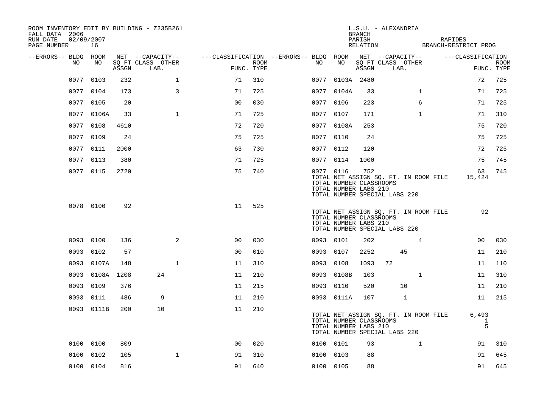| ROOM INVENTORY EDIT BY BUILDING - Z235B261<br>FALL DATA 2006<br>RUN DATE<br>02/09/2007<br>PAGE NUMBER 16 |            |       |                           |                                                         |      |    |                                                               | BRANCH<br>PARISH | L.S.U. - ALEXANDRIA<br>RELATION BRANCH-RESTRICT PROG                   |                 | RAPIDES                    |                           |
|----------------------------------------------------------------------------------------------------------|------------|-------|---------------------------|---------------------------------------------------------|------|----|---------------------------------------------------------------|------------------|------------------------------------------------------------------------|-----------------|----------------------------|---------------------------|
| --ERRORS-- BLDG ROOM                                                                                     |            |       | NET --CAPACITY--          | ---CLASSIFICATION --ERRORS-- BLDG ROOM NET --CAPACITY-- |      |    |                                                               |                  |                                                                        |                 | ---CLASSIFICATION          |                           |
| NO                                                                                                       | NO         | ASSGN | SQ FT CLASS OTHER<br>LAB. | FUNC. TYPE                                              | ROOM | NO | NO                                                            | ASSGN            | SQ FT CLASS OTHER<br>LAB.                                              |                 |                            | <b>ROOM</b><br>FUNC. TYPE |
| 0077                                                                                                     | 0103       | 232   | $\mathbf{1}$              | 71                                                      | 310  |    | 0077 0103A 2480                                               |                  |                                                                        |                 | 72                         | 725                       |
|                                                                                                          | 0077 0104  | 173   | 3                         | 71                                                      | 725  |    | 0077 0104A                                                    | 33               |                                                                        | $\mathbf{1}$    | 71                         | 725                       |
|                                                                                                          | 0077 0105  | 20    |                           | 0 <sub>0</sub>                                          | 030  |    | 0077 0106                                                     | 223              |                                                                        | 6               | 71                         | 725                       |
|                                                                                                          | 0077 0106A | 33    | $\mathbf{1}$              | 71                                                      | 725  |    | 0077 0107                                                     | 171              |                                                                        | $\mathbf{1}$    | 71                         | 310                       |
|                                                                                                          | 0077 0108  | 4610  |                           | 72                                                      | 720  |    | 0077 0108A                                                    | 253              |                                                                        |                 | 75                         | 720                       |
|                                                                                                          | 0077 0109  | 24    |                           | 75                                                      | 725  |    | 0077 0110                                                     | 24               |                                                                        |                 | 75                         | 725                       |
|                                                                                                          | 0077 0111  | 2000  |                           | 63                                                      | 730  |    | 0077 0112                                                     | 120              |                                                                        |                 | 72                         | 725                       |
|                                                                                                          | 0077 0113  | 380   |                           | 71                                                      | 725  |    | 0077 0114                                                     | 1000             |                                                                        |                 | 75                         | 745                       |
|                                                                                                          | 0077 0115  | 2720  |                           | 75                                                      | 740  |    | 0077 0116<br>TOTAL NUMBER CLASSROOMS<br>TOTAL NUMBER LABS 210 | 752              | TOTAL NET ASSIGN SQ. FT. IN ROOM FILE<br>TOTAL NUMBER SPECIAL LABS 220 |                 | 63<br>15,424               | 745                       |
|                                                                                                          | 0078 0100  | 92    |                           | 11                                                      | 525  |    | TOTAL NUMBER CLASSROOMS<br>TOTAL NUMBER LABS 210              |                  | TOTAL NET ASSIGN SQ. FT. IN ROOM FILE<br>TOTAL NUMBER SPECIAL LABS 220 |                 | 92                         |                           |
|                                                                                                          | 0093 0100  | 136   | 2                         | 0 <sub>0</sub>                                          | 030  |    | 0093 0101                                                     | 202              |                                                                        | $4\overline{ }$ | 00                         | 030                       |
|                                                                                                          | 0093 0102  | 57    |                           | 0 <sub>0</sub>                                          | 010  |    | 0093 0107                                                     | 2252             | 45                                                                     |                 | 11                         | 210                       |
|                                                                                                          | 0093 0107A | 148   | $\mathbf{1}$              | 11                                                      | 310  |    | 0093 0108                                                     | 1093             | 72                                                                     |                 | 11                         | 110                       |
|                                                                                                          | 0093 0108A | 1208  | 24                        | 11                                                      | 210  |    | 0093 0108B                                                    | 103              |                                                                        | $\mathbf{1}$    | 11                         | 310                       |
|                                                                                                          | 0093 0109  | 376   |                           | 11                                                      | 215  |    | 0093 0110                                                     | 520              | 10                                                                     |                 | 11                         | 210                       |
|                                                                                                          | 0093 0111  | 486   | 9                         | 11                                                      | 210  |    | 0093 0111A                                                    | 107              | $\mathbf{1}$                                                           |                 | 11                         | 215                       |
|                                                                                                          | 0093 0111B | 200   | 10                        | 11                                                      | 210  |    | TOTAL NUMBER CLASSROOMS<br>TOTAL NUMBER LABS 210              |                  | TOTAL NET ASSIGN SQ. FT. IN ROOM FILE<br>TOTAL NUMBER SPECIAL LABS 220 |                 | 6,493<br>$\mathbf{1}$<br>5 |                           |
|                                                                                                          | 0100 0100  | 809   |                           | 0 <sub>0</sub>                                          | 020  |    | 0100 0101                                                     | 93               |                                                                        | $\mathbf{1}$    | 91                         | 310                       |
|                                                                                                          | 0100 0102  | 105   | $\mathbf 1$               | 91                                                      | 310  |    | 0100 0103                                                     | 88               |                                                                        |                 | 91                         | 645                       |
|                                                                                                          | 0100 0104  | 816   |                           | 91                                                      | 640  |    | 0100 0105                                                     | 88               |                                                                        |                 | 91                         | 645                       |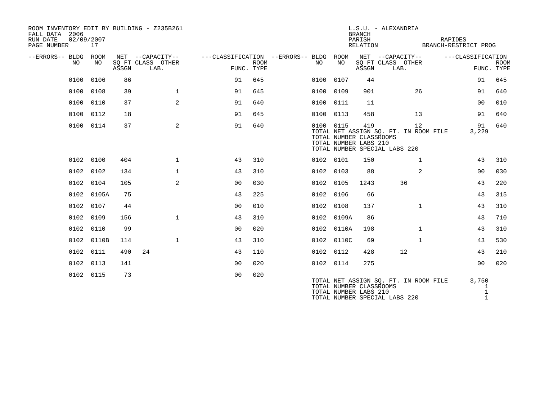| ROOM INVENTORY EDIT BY BUILDING - Z235B261<br>FALL DATA 2006<br>02/09/2007<br>RUN DATE<br>PAGE NUMBER | 17         |       |                                               |                                                                        |             |           |            | <b>BRANCH</b><br>PARISH<br>RELATION                     | L.S.U. - ALEXANDRIA                                                          | RAPIDES<br>BRANCH-RESTRICT PROG |                           |
|-------------------------------------------------------------------------------------------------------|------------|-------|-----------------------------------------------|------------------------------------------------------------------------|-------------|-----------|------------|---------------------------------------------------------|------------------------------------------------------------------------------|---------------------------------|---------------------------|
| --ERRORS-- BLDG ROOM<br>NO                                                                            | NO.        | ASSGN | NET --CAPACITY--<br>SO FT CLASS OTHER<br>LAB. | ---CLASSIFICATION --ERRORS-- BLDG ROOM  NET --CAPACITY--<br>FUNC. TYPE | <b>ROOM</b> | NO.       | NO         | ASSGN                                                   | SQ FT CLASS OTHER<br>LAB.                                                    | ---CLASSIFICATION               | <b>ROOM</b><br>FUNC. TYPE |
|                                                                                                       | 0100 0106  | 86    |                                               | 91                                                                     | 645         | 0100 0107 |            | 44                                                      |                                                                              | 91                              | 645                       |
| 0100                                                                                                  | 0108       | 39    | $\mathbf{1}$                                  | 91                                                                     | 645         | 0100      | 0109       | 901                                                     | 26                                                                           | 91                              | 640                       |
|                                                                                                       | 0100 0110  | 37    | 2                                             | 91                                                                     | 640         | 0100 0111 |            | 11                                                      |                                                                              | 0 <sub>0</sub>                  | 010                       |
|                                                                                                       | 0100 0112  | 18    |                                               | 91                                                                     | 645         | 0100 0113 |            | 458                                                     | 13                                                                           | 91                              | 640                       |
|                                                                                                       | 0100 0114  | 37    | 2                                             | 91                                                                     | 640         | 0100 0115 |            | 419<br>TOTAL NUMBER CLASSROOMS<br>TOTAL NUMBER LABS 210 | 12<br>TOTAL NET ASSIGN SO. FT. IN ROOM FILE<br>TOTAL NUMBER SPECIAL LABS 220 | 91<br>3,229                     | 640                       |
|                                                                                                       | 0102 0100  | 404   | $\mathbf{1}$                                  | 43                                                                     | 310         | 0102 0101 |            | 150                                                     | $\mathbf{1}$                                                                 | 43                              | 310                       |
|                                                                                                       | 0102 0102  | 134   | $\mathbf{1}$                                  | 43                                                                     | 310         | 0102 0103 |            | 88                                                      | $\overline{2}$                                                               | 0 <sub>0</sub>                  | 030                       |
| 0102                                                                                                  | 0104       | 105   | 2                                             | 0 <sub>0</sub>                                                         | 030         | 0102 0105 |            | 1243                                                    | 36                                                                           | 43                              | 220                       |
|                                                                                                       | 0102 0105A | 75    |                                               | 43                                                                     | 225         | 0102 0106 |            | 66                                                      |                                                                              | 43                              | 315                       |
|                                                                                                       | 0102 0107  | 44    |                                               | 0 <sub>0</sub>                                                         | 010         | 0102 0108 |            | 137                                                     | $\mathbf{1}$                                                                 | 43                              | 310                       |
|                                                                                                       | 0102 0109  | 156   | $\mathbf{1}$                                  | 43                                                                     | 310         |           | 0102 0109A | 86                                                      |                                                                              | 43                              | 710                       |
|                                                                                                       | 0102 0110  | 99    |                                               | 0 <sup>0</sup>                                                         | 020         |           | 0102 0110A | 198                                                     | $\mathbf{1}$                                                                 | 43                              | 310                       |
|                                                                                                       | 0102 0110B | 114   | $\mathbf 1$                                   | 43                                                                     | 310         |           | 0102 0110C | 69                                                      | $\mathbf{1}$                                                                 | 43                              | 530                       |
|                                                                                                       | 0102 0111  | 490   | 24                                            | 43                                                                     | 110         | 0102 0112 |            | 428                                                     | 12                                                                           | 43                              | 210                       |
|                                                                                                       | 0102 0113  | 141   |                                               | 0 <sub>0</sub>                                                         | 020         | 0102 0114 |            | 275                                                     |                                                                              | 0 <sub>0</sub>                  | 020                       |
|                                                                                                       | 0102 0115  | 73    |                                               | 0 <sub>0</sub>                                                         | 020         |           |            | TOTAL NUMBER CLASSROOMS<br>TOTAL NUMBER LABS 210        | TOTAL NET ASSIGN SO. FT. IN ROOM FILE                                        | 3,750                           | 1                         |

TOTAL NUMBER SPECIAL LABS 220 1